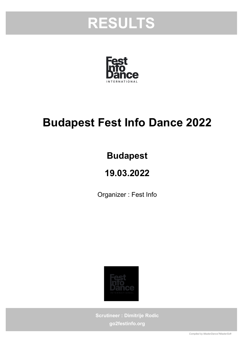



## Budapest Fest Info Dance 2022

## Budapest

## 19.03.2022

Organizer : Fest Info



Scrutineer : Dimitrije Rodic go2festinfo.org

Compiled by MasterDance?MasterSoft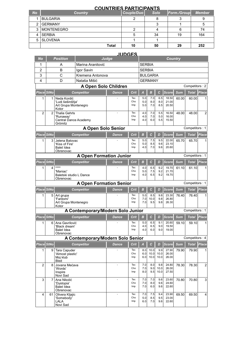|           | <b>COUNTRIES PARTICIPANTS</b> |            |             |             |               |  |  |  |  |  |  |  |  |  |
|-----------|-------------------------------|------------|-------------|-------------|---------------|--|--|--|--|--|--|--|--|--|
| <b>No</b> | <b>Country</b>                | Couple/Duo | <b>Solo</b> | Form./Group | <b>Member</b> |  |  |  |  |  |  |  |  |  |
|           | <b>BULGARIA</b>               |            |             |             |               |  |  |  |  |  |  |  |  |  |
| 2         | <b>GERMANY</b>                |            |             |             |               |  |  |  |  |  |  |  |  |  |
| 3         | <b>MONTENEGRO</b>             |            |             |             | 74            |  |  |  |  |  |  |  |  |  |
|           | <b>SERBIA</b>                 | 5          | 34          | 19          | 164           |  |  |  |  |  |  |  |  |  |
| 5         | <b>SLOVENIA</b>               |            |             |             |               |  |  |  |  |  |  |  |  |  |
|           | Total                         | 10         | 50          | 29          | 252           |  |  |  |  |  |  |  |  |  |

## JUDGES

| No                |                   | <b>Position</b>                                                       | Judge                             |              |                   | <b>Country</b>          |                      |                     |                         |            |                |                |  |
|-------------------|-------------------|-----------------------------------------------------------------------|-----------------------------------|--------------|-------------------|-------------------------|----------------------|---------------------|-------------------------|------------|----------------|----------------|--|
| 1                 |                   | A                                                                     | Marina Aranitović                 |              |                   | <b>SERBIA</b>           |                      |                     |                         |            |                |                |  |
| 2                 |                   | в                                                                     | Igor Savin                        |              |                   | <b>SERBIA</b>           |                      |                     |                         |            |                |                |  |
| 3                 |                   | C                                                                     | Kremena Antonova                  |              |                   |                         | <b>BULGARIA</b>      |                     |                         |            |                |                |  |
| 4                 |                   | D                                                                     | Nataša Mišić                      |              |                   |                         | <b>GERMANY</b>       |                     |                         |            |                |                |  |
|                   |                   |                                                                       | A Open Solo Children              |              |                   |                         |                      |                     |                         |            | Competitors: 2 |                |  |
| Place StNo        |                   |                                                                       | <b>Competitor</b>                 | <b>Dance</b> | Crit              | $\overline{\mathsf{A}}$ | $\boldsymbol{B}$     | $\mathbf{C}$        | <b>Score</b>            | <b>Sum</b> | <b>Total</b>   | <b>Place</b>   |  |
| 1                 | 1                 | Neda Kordić<br>'Ludi šeširdžija'<br>Art Grupa Montenegro<br>Kotor     |                                   |              | Tec<br>Cho<br>Imp | 5.0<br>5.0<br>5.0       | 7.0<br>8.0<br>7.0    | 6.5<br>8.0<br>8.5   | 18.50<br>21.00<br>20.50 | 60.00      | 60.00          |                |  |
| $\overline{2}$    | $\overline{2}$    | <b>Thalia Gehrls</b><br>'Runaway'<br>Central Dance Academy<br>Grömitz |                                   |              | Tec<br>Cho<br>Imp | 4.0<br>4.0<br>4.0       | 7.0<br>7.0<br>6.0    | 5.5<br>5.0<br>5.5   | 16.50<br>16.00<br>15.50 | 48.00      | 48.00          | $\overline{2}$ |  |
|                   |                   |                                                                       | <b>A Open Solo Senior</b>         |              |                   |                         |                      |                     |                         |            | Competitors: 1 |                |  |
| Place             | <b>StNo</b>       |                                                                       | <b>Competitor</b>                 | <b>Dance</b> | Crit              | B                       | $\mathbf c$          | D                   | Score                   | <b>Sum</b> | <b>Total</b>   | Place          |  |
| 1                 | 3                 | Jelena Batovac<br>'Kiss of Fire'<br>Balet Idea<br>Obrenovac           |                                   |              | Tec<br>Cho<br>Imp | 5.0<br>5.0<br>4.0       | 7.5<br>8.5<br>7.0    | 9.5<br>9.6<br>9.6   | 22.00<br>23.10<br>20.60 | 65.70      | 65.70          |                |  |
|                   |                   |                                                                       | <b>A Open Formation Junior</b>    |              |                   |                         |                      |                     |                         |            | Competitors: 1 |                |  |
| Place StNo        |                   |                                                                       | <b>Competitor</b>                 | Dance        | Crit              | в                       | $\mathcal{C}$        | D                   | <b>Score</b>            | <b>Sum</b> | <b>Total</b>   | <b>Place</b>   |  |
| 1                 | 4                 | ****<br>'Maniac'<br>Baletski studio L Dance<br>Obrenovac              |                                   |              | Tec<br>Cho<br>Imp | 4.0<br>5.0<br>4.0       | 6.5<br>7.5<br>6.5    | 9.2<br>9.2<br>9.2   | 19.70<br>21.70<br>19.70 | 61.10      | 61.10          |                |  |
|                   |                   |                                                                       | <b>A Open Formation Senior</b>    |              |                   |                         |                      |                     |                         |            | Competitors: 1 |                |  |
|                   | <b>Place StNo</b> |                                                                       | <b>Competitor</b>                 | Dance        | Crit              | $\boldsymbol{B}$        | C                    | D                   | <b>Score</b>            | <b>Sum</b> | <b>Total</b>   | <b>Place</b>   |  |
| 1                 | 5                 | Art grupa<br>'Fantomi'<br>Art Grupa Montenegro<br>Kotor               |                                   |              | Tec<br>Cho<br>Imp | 5.0<br>7.0<br>7.0       | 8.5<br>10.0<br>9.5   | 9.8<br>9.8<br>9.8   | 23.30<br>26.80<br>26.30 | 76.40      | 76.40          |                |  |
|                   |                   |                                                                       | A Contemporary/Modern Solo Junior |              |                   |                         |                      |                     |                         |            | Competitors: 1 |                |  |
| <b>Place StNo</b> |                   |                                                                       | <b>Competitor</b>                 | <b>Dance</b> | <b>Crit</b>       | в                       | $\mathcal{C}$        | D                   | <b>Score</b>            | <b>Sum</b> | <b>Total</b>   | Place          |  |
| 1                 | 6                 | Ana Gavrilović<br>'Black dream'<br><b>Balet Idea</b><br>Obrenovac     |                                   |              | Tec<br>Cho<br>Imp | 5.0<br>4.0<br>4.0       | 6.5<br>6.5<br>6.0    | 9.1<br>9.0<br>9.0   | 20.60<br>19.50<br>19.00 | 59.10      | 59.10          | 1              |  |
|                   |                   |                                                                       | A Contemporary/Modern Solo Senior |              |                   |                         |                      |                     |                         |            | Competitors: 4 |                |  |
| Place StNo        |                   |                                                                       | <b>Competitor</b>                 | <b>Dance</b> | <b>Crit</b>       | A                       | $\mathbf{C}$         | D                   | <b>Score</b>            | <b>Sum</b> | <b>Total</b>   | Place          |  |
| 1                 | 9                 | Tara Capuder<br>'Almost plastic'<br>Moj klub<br>Bled                  |                                   |              | Tec<br>Cho<br>Imp | 8.0<br>6.0<br>6.0       | 10.0<br>10.0<br>10.0 | 9.9<br>10.0<br>10.0 | 27.90<br>26.00<br>26.00 | 79.90      | 79.90          | 1              |  |
| $\overline{2}$    | 8                 | Jovana Mećava<br>'Words'<br>Inspire<br>Novi Sad                       |                                   | ä,           | Tec<br>Cho<br>Imp | 7.0<br>7.0<br>8.0       | 8.0<br>9.0<br>9.5    | 9.8<br>10.0<br>10.0 | 24.80<br>26.00<br>27.50 | 78.30      | 78.30          | 2              |  |
| 3                 | $\overline{7}$    | Ana Nikolić<br>'Dystopia'<br>Balet Idea<br>Obrenovac                  |                                   | ä,           | Tec<br>Cho<br>Imp | 7.0<br>7.0<br>7.0       | 7.0<br>8.0<br>6.0    | 9.6<br>9.6<br>9.6   | 23.60<br>24.60<br>22.60 | 70.80      | 70.80          | 3              |  |
| 4                 | 61                | Olivera Kljajic                                                       |                                   | ä,           | Tec               | 7.0                     | 7.5                  | 9.4                 | 23.90                   | 69.50      | 69.50          | 4              |  |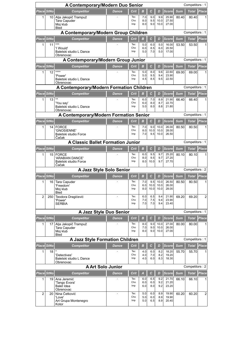| A Contemporary/Modern Duo Senior<br>Competitors: 1 |                                                            |                                                                        |              |                   |                   |                     |                      |                         |            |                |                |  |  |
|----------------------------------------------------|------------------------------------------------------------|------------------------------------------------------------------------|--------------|-------------------|-------------------|---------------------|----------------------|-------------------------|------------|----------------|----------------|--|--|
| Place StNo                                         |                                                            | <b>Competitor</b>                                                      | <b>Dance</b> | Crit              | в                 | $\mathbf{C}$        | D                    | <b>Score</b>            | <b>Sum</b> | <b>Total</b>   | Place          |  |  |
| 1                                                  | 10                                                         | Alja Jakopič Trampuž<br><b>Tara Capuder</b><br>Moj klub<br><b>Bled</b> |              | Tec<br>Cho<br>Imp | 7.0<br>8.0<br>8.0 | 9.0<br>9.5<br>9.0   | 9.9<br>10.0<br>10.0  | 25.90<br>27.50<br>27.00 | 80.40      | 80.40          |                |  |  |
|                                                    |                                                            | A Contemporary/Modern Group Children                                   |              |                   |                   |                     |                      |                         |            | Competitors: 1 |                |  |  |
| Place StNo                                         |                                                            | <b>Competitor</b>                                                      | <b>Dance</b> | Crit              | B                 | $\mathbf c$         | D                    | <b>Score</b>            | <b>Sum</b> | <b>Total</b>   | Place          |  |  |
| 1                                                  | 11                                                         | $***$<br>'I Would'<br>Baletski studio L Dance<br>Obrenovac             |              | Tec<br>Cho<br>Imp | 5.0<br>6.0<br>5.0 | 6.0<br>8.5<br>7.0   | 5.0<br>6.0<br>5.0    | 16.00<br>20.50<br>17.00 | 53.50      | 53.50          |                |  |  |
|                                                    |                                                            | A Contemporary/Modern Group Junior                                     |              |                   |                   |                     |                      |                         |            | Competitors: 1 |                |  |  |
| Place StNo                                         |                                                            | <b>Competitor</b>                                                      | <b>Dance</b> | Crit              | $\boldsymbol{B}$  | $\mathbf c$         | D                    | <b>Score</b>            | <b>Sum</b> | <b>Total</b>   | Place          |  |  |
| 1                                                  | 12                                                         | ****<br>'Power'<br>Baletski studio L Dance<br>Obrenovac                |              | Tec<br>Cho<br>Imp | 5.0<br>5.0<br>4.5 | 8.0<br>9.5<br>8.5   | 9.6<br>9.4<br>9.5    | 22.60<br>23.90<br>22.50 | 69.00      | 69.00          |                |  |  |
|                                                    | A Contemporary/Modern Formation Children<br>Competitors: 1 |                                                                        |              |                   |                   |                     |                      |                         |            |                |                |  |  |
| Place StNo                                         |                                                            | <b>Competitor</b>                                                      | <b>Dance</b> | Crit              | в                 | с                   | D                    | <b>Score</b>            | <b>Sum</b> | <b>Total</b>   | Place          |  |  |
| 1                                                  | 13                                                         | $***$<br>'You say'<br>Baletski studio L Dance<br>Obrenovac             |              | Tec<br>Cho<br>Imp | 6.0<br>6.0<br>5.0 | 7.0<br>8.0<br>8.0   | 8.9<br>8.7<br>8.8    | 21.90<br>22.70<br>21.80 | 66.40      | 66.40          |                |  |  |
|                                                    |                                                            | A Contemporary/Modern Formation Senior                                 |              |                   |                   |                     |                      |                         |            | Competitors: 1 |                |  |  |
| Place StNo                                         |                                                            | <b>Competitor</b>                                                      | <b>Dance</b> | Crit              | в                 | C                   | D                    | <b>Score</b>            | <b>Sum</b> | <b>Total</b>   | <b>Place</b>   |  |  |
| 1                                                  | 14                                                         | <b>FORCE</b><br>'GNOSIENNE'<br>Baletski studio Force<br>Cačak          |              | Tec<br>Cho<br>Imp | 7.0<br>8.0<br>7.0 | 9.0<br>10.0<br>9.5  | 10.0<br>10.0<br>10.0 | 26.00<br>28.00<br>26.50 | 80.50      | 80.50          | 1              |  |  |
|                                                    |                                                            | <b>A Classic Ballet Formation Junior</b>                               |              |                   |                   |                     |                      |                         |            | Competitors: 1 |                |  |  |
| Place StNo                                         |                                                            | <b>Competitor</b>                                                      | <b>Dance</b> | Crit              | B                 | $\overline{c}$      | D                    | <b>Score</b>            | <b>Sum</b> | <b>Total</b>   | Place          |  |  |
| 1                                                  | 15                                                         | <b>FORCE</b><br>'ARABIAN DANCE'<br>Baletski studio Force<br>Cačak      |              | Tec<br>Cho<br>Imp | 6.0<br>8.0<br>8.0 | 9.5<br>9.5<br>10.0  | 9.7<br>9.7<br>9.7    | 25.20<br>27.20<br>27.70 | 80.10      | 80.10          |                |  |  |
|                                                    |                                                            | A Jazz Style Solo Senior                                               |              |                   |                   |                     |                      |                         |            | Competitors: 2 |                |  |  |
| Place StNo                                         |                                                            | <b>Competitor</b>                                                      | <b>Dance</b> | Crit              | B                 | $\mathbf c$         | D                    | <b>Score</b>            | <b>Sum</b> | <b>Total</b>   | Place          |  |  |
| 1                                                  | 16                                                         | Tara Capuder<br>'Freedom'<br>Moj klub<br>Bled                          |              | Tec<br>Cho<br>Imp | 7.0<br>6.0<br>8.0 | 9.5<br>10.0<br>10.0 | 10.0<br>10.0<br>10.0 | 26.50<br>26.00<br>28.00 | 80.50      | 80.50          | 1              |  |  |
| $\overline{2}$                                     | 250                                                        | Teodora Dragićević<br>'Power'<br><b>SERBIA</b>                         |              | Tec<br>Cho<br>Imp | 6.0<br>7.0<br>7.0 | 6.5<br>7.5<br>7.0   | 9.4<br>9.4<br>9.4    | 21.90<br>23.90<br>23.40 | 69.20      | 69.20          | 2              |  |  |
|                                                    |                                                            | A Jazz Style Duo Senior                                                |              |                   |                   |                     |                      |                         |            | Competitors: 1 |                |  |  |
| Place StNo                                         |                                                            | <b>Competitor</b>                                                      | Dance        | Crit              | B                 | $\mathbf c$         | D                    | Score                   | <b>Sum</b> | <b>Total</b>   | <b>Place</b>   |  |  |
| 1                                                  | 17                                                         | Alja Jakopič Trampuž<br>Tara Capuder<br>Moj klub<br>Bled               |              | Tec<br>Cho<br>Imp | 8.0<br>7.0<br>8.0 | 9.0<br>9.0<br>9.0   | 10.0<br>10.0<br>10.0 | 27.00<br>26.00<br>27.00 | 80.00      | 80.00          |                |  |  |
|                                                    |                                                            | A Jazz Style Formation Children                                        |              |                   |                   |                     |                      |                         |            | Competitors: 1 |                |  |  |
| Place StNo                                         |                                                            | <b>Competitor</b>                                                      | Dance        | Crit              | в                 | $\mathbf{C}$        | D                    | Score                   | <b>Sum</b> | <b>Total</b>   | <b>Place</b>   |  |  |
| 1                                                  | 18                                                         | 'Detectives'<br>Baletski studio L Dance<br>Obrenovac                   |              | Tec<br>Cho<br>Imp | 4.0<br>4.0<br>4.0 | 6.0<br>7.0<br>6.0   | 8.2<br>8.2<br>8.3    | 18.20<br>19.20<br>18.30 | 55.70      | 55.70          | 1              |  |  |
|                                                    |                                                            | <b>A Art Solo Junior</b>                                               |              |                   |                   |                     |                      |                         |            | Competitors: 2 |                |  |  |
| Place StNo                                         |                                                            | <b>Competitor</b>                                                      | Dance        | <b>Crit</b>       | $\overline{A}$    | C                   | D                    | <b>Score</b>            | <b>Sum</b> | <b>Total</b>   | <b>Place</b>   |  |  |
| $\mathbf{1}$                                       | 19                                                         | Ana Jeremić<br>'Tango Evora'<br><b>Balet Idea</b><br>Obrenovac         |              | Tec<br>Cho<br>Imp | 6.0<br>6.0<br>6.0 | 6.5<br>6.0<br>8.0   | 9.2<br>9.2<br>9.2    | 21.70<br>21.20<br>23.20 | 66.10      | 66.10          | 1              |  |  |
| $\overline{2}$                                     | 20                                                         | Nina Cetković<br>'Love'<br>Art Grupa Montenegro<br>Kotor               | ÷,           | Tec<br>Cho<br>Imp | 5.0<br>5.0<br>5.0 | 6.0<br>6.0<br>6.5   | 8.9<br>8.9<br>8.9    | 19.90<br>19.90<br>20.40 | 60.20      | 60.20          | $\overline{2}$ |  |  |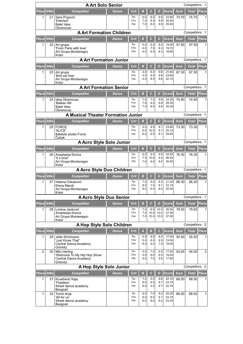|                                                                                                                  | <b>A Art Solo Senior</b><br>Competitors: 1 |                                                                       |              |                    |                   |                    |                   |                         |            |                |                |  |  |
|------------------------------------------------------------------------------------------------------------------|--------------------------------------------|-----------------------------------------------------------------------|--------------|--------------------|-------------------|--------------------|-------------------|-------------------------|------------|----------------|----------------|--|--|
| Place StNo                                                                                                       |                                            | <b>Competitor</b>                                                     | <b>Dance</b> | Crit               | B                 | $\mathbf c$        | D                 | <b>Score</b>            | <b>Sum</b> | Total          | Place          |  |  |
| 1                                                                                                                | 21                                         | Sara Popović<br>'Ederlezi'<br>Balet Idea                              |              | Tec<br>Cho<br>Imp  | 6.0<br>7.0<br>7.0 | 8.0<br>8.5<br>8.5  | 9.9<br>9.9<br>9.9 | 23.90<br>25.40<br>25.40 | 74.70      | 74.70          |                |  |  |
|                                                                                                                  |                                            | Obrenovac                                                             |              |                    |                   |                    |                   |                         |            |                |                |  |  |
|                                                                                                                  |                                            | <b>A Art Formation Children</b>                                       |              |                    |                   |                    |                   |                         |            | Competitors: 1 |                |  |  |
| Place StNo                                                                                                       |                                            | <b>Competitor</b>                                                     | <b>Dance</b> | Crit               | B                 | $\mathbf c$        | D                 | <b>Score</b>            | <b>Sum</b> | <b>Total</b>   | Place          |  |  |
| 1                                                                                                                | 22                                         | Art grupa<br>'From Paris with love'                                   |              | Tec<br>Cho<br>Imp  | 5.0<br>4.0<br>4.0 | 6.0<br>7.5<br>6.5  | 8.0<br>8.2<br>8.3 | 19.00<br>19.70<br>18.80 | 57.50      | 57.50          |                |  |  |
|                                                                                                                  |                                            | Art Grupa Montenegro<br>Kotor                                         |              |                    |                   |                    |                   |                         |            |                |                |  |  |
|                                                                                                                  |                                            | <b>A Art Formation Junior</b>                                         |              |                    |                   |                    |                   |                         |            | Competitors: 1 |                |  |  |
| Place StNo                                                                                                       |                                            | <b>Competitor</b>                                                     | <b>Dance</b> | Crit               | в                 | $\mathbf c$        | D                 | <b>Score</b>            | <b>Sum</b> | <b>Total</b>   | Place          |  |  |
| 1                                                                                                                | 23                                         | Art grupa<br>'Bird set free'<br>Art Grupa Montenegro<br>Kotor         |              | Tec<br>Cho<br>Imp  | 4.0<br>5.0<br>4.0 | 8.0<br>9.0<br>8.5  | 9.6<br>9.6<br>9.6 | 21.60<br>23.60<br>22.10 | 67.30      | 67.30          | 1              |  |  |
| <b>A Art Formation Senior</b><br>Competitors: 1<br><b>Place</b>                                                  |                                            |                                                                       |              |                    |                   |                    |                   |                         |            |                |                |  |  |
| Place StNo<br>$\mathbf c$<br>Crit<br>B<br><b>Competitor</b><br>D<br><b>Score</b><br><b>Sum</b><br>Total<br>Dance |                                            |                                                                       |              |                    |                   |                    |                   |                         |            |                |                |  |  |
| 1                                                                                                                | 24                                         | Idea Obrenovac                                                        |              | Tec                | 7.0               | 7.5                | 9.8               | 24.30                   | 74.90      | 74.90          |                |  |  |
|                                                                                                                  |                                            | 'Balkan life'<br>Balet Idea<br>Obrenovac                              |              | Cho<br>Imp         | 7.0<br>7.0        | 8.5<br>8.5         | 9.8<br>9.8        | 25.30<br>25.30          |            |                |                |  |  |
|                                                                                                                  |                                            | <b>A Musical Theater Formation Junior</b>                             |              |                    |                   |                    |                   |                         |            | Competitors: 1 |                |  |  |
|                                                                                                                  | Place StNo                                 | <b>Competitor</b>                                                     | <b>Dance</b> | Crit               | в                 | $\mathbf{C}$       | D                 | <b>Score</b>            | <b>Sum</b> | <b>Total</b>   | Place          |  |  |
| 1                                                                                                                | 25                                         | <b>FORCE</b>                                                          |              | Tec                | 5.0               | 9.5                | 9.1               | 23.60                   | 73.30      | 73.30          |                |  |  |
|                                                                                                                  |                                            | 'ALICE'<br>Baletski studio Force<br>Cačak                             |              | Cho<br>Imp         | 6.0<br>6.0        | 10.0<br>9.5        | 9.1<br>9.1        | 25.10<br>24.60          |            |                |                |  |  |
|                                                                                                                  |                                            | A Acro Style Solo Junior                                              |              |                    |                   |                    |                   |                         |            | Competitors: 1 |                |  |  |
| Place StNo                                                                                                       |                                            | <b>Competitor</b>                                                     | <b>Dance</b> | Crit               | $\boldsymbol{B}$  | $\mathbf c$        | D                 | <b>Score</b>            | <b>Sum</b> | <b>Total</b>   | <b>Place</b>   |  |  |
| 1                                                                                                                | 26                                         | Anastasija Đurica<br>'It s time'<br>Art Grupa Montenegro              |              | Tec<br>Cho<br>Imp  | 6.0<br>7.0<br>7.0 | 9.0<br>10.0<br>9.0 | 9.5<br>9.4<br>9.4 | 24.50<br>26.40<br>25.40 | 76.30      | 76.30          |                |  |  |
|                                                                                                                  |                                            | Kotor                                                                 |              |                    |                   |                    |                   |                         |            |                |                |  |  |
|                                                                                                                  |                                            | A Acro Style Duo Children                                             |              |                    |                   |                    |                   |                         |            | Competitors: 1 |                |  |  |
| <b>Place StNo</b>                                                                                                |                                            | <b>Competitor</b>                                                     | Dance        | Crit               | B                 | $\mathbf{C}$       | D                 | Score                   | <b>Sum</b> | <b>Total</b>   | Place          |  |  |
| 1                                                                                                                | 27                                         | Helena Vukasović<br>Elena Maroš                                       |              | Tec<br>Cho         | 7.0<br>8.0        | 6.0<br>7.0         | 8.2<br>8.1        | 21.20<br>23.10          | 66.30      | 66.30          | 1              |  |  |
|                                                                                                                  |                                            | Art Grupa Montenegro<br>Kotor                                         |              | Imp                | 8.0               | 6.0                | 8.0               | 22.00                   |            |                |                |  |  |
|                                                                                                                  |                                            | <b>A Acro Style Duo Senior</b>                                        |              |                    |                   |                    |                   |                         |            | Competitors: 1 |                |  |  |
|                                                                                                                  | Place StNo                                 | <b>Competitor</b>                                                     | Dance        | Crit               | $\boldsymbol{B}$  | $\pmb{C}$          | D                 | <b>Score</b>            | <b>Sum</b> | <b>Total</b>   | Place          |  |  |
| 1                                                                                                                | 28                                         | Lorena Janković                                                       |              | Tec                | 7.0               | 8.5                | 10.0              | 25.50                   | 79.50      | 79.50          | 1              |  |  |
|                                                                                                                  |                                            | Anastasija Đurica<br>Art Grupa Montenegro                             |              | Cho<br>Imp         | 7.0<br>7.0        | 10.0<br>10.0       | 10.0<br>10.0      | 27.00<br>27.00          |            |                |                |  |  |
|                                                                                                                  |                                            | Kotor                                                                 |              |                    |                   |                    |                   |                         |            |                |                |  |  |
|                                                                                                                  |                                            | A Hop Style Solo Children                                             |              |                    |                   |                    |                   |                         |            | Competitors: 2 |                |  |  |
|                                                                                                                  | Place StNo                                 | <b>Competitor</b><br>Jette Wichmann                                   | <b>Dance</b> | <b>Crit</b><br>Tec | А<br>5.0          | в<br>6.0           | С<br>6.0          | <b>Score</b><br>17.00   | <b>Sum</b> | <b>Total</b>   | <b>Place</b>   |  |  |
| 1                                                                                                                | 29                                         | 'Just Know That'<br>Central Dance Academy<br>Grömitz                  |              | Cho<br>Imp         | 5.0<br>6.0        | 8.0<br>6.0         | 6.5<br>7.0        | 19.50<br>19.00          | 55.50      | 55.50          | 1              |  |  |
| 2                                                                                                                | 30                                         | Milo Harling<br>'Welcome To My Hip Hop Show'<br>Central Dance Academy | ä,           | Tec<br>Cho<br>Imp  | 5.0<br>5.0<br>5.0 | 7.0<br>8.0<br>7.0  | 5.5<br>6.0<br>5.5 | 17.50<br>19.00<br>17.50 | 54.00      | 54.00          | $\overline{2}$ |  |  |
|                                                                                                                  |                                            | Grömitz<br>A Hop Style Solo Junior                                    |              |                    |                   |                    |                   |                         |            | Competitors: 2 |                |  |  |
| Place StNo                                                                                                       |                                            | <b>Competitor</b>                                                     | <b>Dance</b> | Crit               | $\boldsymbol{B}$  | $\mathbf c$        | D                 | <b>Score</b>            | <b>Sum</b> | <b>Total</b>   | <b>Place</b>   |  |  |
| 1                                                                                                                | 31                                         | Kovačević Kaja                                                        |              | Tec                | 7.0               | 5.5                | 9.6               | 22.10                   | 68.50      | 68.50          | 1              |  |  |
|                                                                                                                  |                                            | 'Flawless'<br>Street dance academy<br>Beograd                         |              | Cho<br>Imp         | 8.0<br>8.0        | 6.0<br>5.0         | 9.7<br>9.7        | 23.70<br>22.70          |            |                |                |  |  |
| 1                                                                                                                | 32                                         | Tomić Anja                                                            | ÷            | Tec                | 6.0               | 7.0                | 9.2               | 22.20                   | 68.50      | 68.50          | 1              |  |  |
|                                                                                                                  |                                            | 'All for us'<br>Street dance academy<br>Beograd                       |              | Cho<br>Imp         | 6.0<br>6.0        | 8.0<br>8.0         | 9.1<br>9.2        | 23.10<br>23.20          |            |                |                |  |  |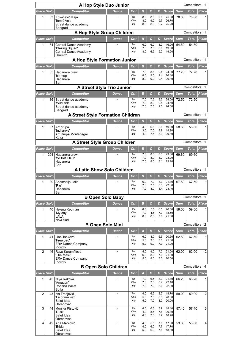| Place StNo<br>$\mathbf c$<br>Place<br><b>Dance</b><br>Crit<br>B<br><b>Sum</b><br><b>Total</b><br><b>Competitor</b><br>D<br><b>Score</b><br>8.0<br>9.6<br>25.60<br>1<br>33<br>Kovačević Kaja<br>Tec<br>8.0<br>78.00<br>78.00<br>Cho<br>8.0<br>9.0<br>9.7<br>26.70<br>Tomić Anja<br>8.0<br>8.0<br>9.7<br>25.70<br>Street dance academy<br>Imp<br>Beograd<br>A Hop Style Group Children<br>Competitors: 1<br>Place StNo<br><b>Competitor</b><br>B<br>$\mathcal{C}$<br>D<br><b>Sum</b><br><b>Place</b><br><b>Dance</b><br>Crit<br>Score<br>Total<br>6.0<br>4.0<br>16.00<br>1<br>34<br>Tec<br>6.0<br>54.50<br>54.50<br>Central Dance Academy<br>Cho<br>7.0<br>7.0<br>5.0<br>19.00<br>'Blazing Squad'<br>6.5<br>Imp<br>8.0<br>5.0<br>19.50<br>Central Dance Academy<br>Grömitz<br>Competitors: 1<br>A Hop Style Formation Junior<br>Place StNo<br>C<br><b>Sum</b><br><b>Place</b><br><b>Competitor</b><br><b>Dance</b><br>Crit<br>B<br>D<br><b>Score</b><br><b>Total</b><br>8.5<br>24.90<br>Tec<br>7.0<br>9.4<br>35<br>77.70<br>77.70<br>1<br>Habanera crew<br>1<br>Cho<br>8.0<br>9.0<br>9.4<br>26.40<br>'hip hop'<br>8.0<br>9.0<br>Imp<br>9.4<br>26.40<br>Habanera<br>Bar<br><b>A Street Style Trio Junior</b><br>Competitors: 1<br>Place StNo<br>$\mathbf c$<br>Place<br><b>Competitor</b><br>Crit<br>B<br><b>Score</b><br><b>Sum</b><br><b>Total</b><br><b>Dance</b><br>D<br>Tec<br>7.0<br>7.5<br>24.00<br>9.5<br>72.50<br>72.50<br>1<br>36<br>Street dance academy<br>Cho<br>7.0<br>8.0<br>9.5<br>24.50<br>'Wild side'<br>Imp<br>Street dance academy<br>7.0<br>7.5<br>9.5<br>24.00<br>Beograd<br><b>A Street Style Formation Children</b><br>Competitors: 1<br>Place StNo<br>$\mathbf c$<br><b>Score</b><br>Place<br>Crit<br>B<br>D<br><b>Sum</b><br><b>Total</b><br><b>Competitor</b><br>Dance<br>Tec<br>4.0<br>6.5<br>8.8<br>19.30<br>1<br>37<br>58.60<br>58.60<br>Art grupa<br>Cho<br>3.0<br>7.0<br>8.9<br>18.90<br>'Indijanke'<br>7.5<br>4.0<br>8.9<br>20.40<br>Art Grupa Montenegro<br>Imp<br>Kotor<br>A Street Style Group Children<br>Competitors: 1<br>Place StNo<br>$\mathbf c$<br>Place<br><b>Dance</b><br>$\boldsymbol{B}$<br>D<br>Score<br><b>Sum</b><br><b>Total</b><br><b>Competitor</b><br>Crit<br>Tec<br>7.0<br>23.30<br>204<br>8.0<br>8.3<br>69.60<br>69.60<br>1<br>Habanera crew<br>Cho<br>7.0<br>8.0<br>8.2<br>23.20<br>'WORK OUT'<br>23.10<br>Imp<br>7.0<br>8.0<br>8.1<br>Habanera<br>Bar<br><b>A Latin Show Solo Children</b><br>Competitors: 1<br>Place StNo<br>$\mathcal{C}$<br><b>Place</b><br>Crit<br>в<br><b>Score</b><br><b>Sum</b><br><b>Competitor</b><br><b>Dance</b><br>D<br>Total<br>7.0<br>21.30<br>1<br>39<br>Tec<br>6.0<br>8.3<br>67.50<br>67.50<br>Anastasija Lalic<br>1<br>7.0<br>8.3<br>22.80<br>Cho<br>7.5<br>'Rio'<br>Imp<br>7.0<br>8.0<br>23.40<br>8.4<br>Habanera<br>Bar<br>Competitors: 1<br><b>B Open Solo Baby</b><br>Place StNo<br>Crit<br>$\boldsymbol{B}$<br>$\mathbf c$<br><b>Score</b><br><b>Sum</b><br>Place<br><b>Competitor</b><br><b>Dance</b><br>D<br><b>Total</b><br>5.5<br>6.5<br>20.00<br>Tec<br>8.0<br>40<br>Helena Kecman<br>59.50<br>59.50<br>1<br>1<br>18.50<br>Cho<br>7.0<br>4.5<br>7.0<br>'My day'<br>LALA<br>8.0<br>6.0<br>7.0<br>Imp<br>21.00<br>Novi Sad<br><b>B Open Solo Mini</b><br>Competitors: 2<br>Place StNo<br><b>Place</b><br>Crit<br>B<br><b>Score</b><br><b>Sum</b><br><b>Total</b><br><b>Competitor</b><br><b>Dance</b><br>A<br>D<br>Tec<br>20.50<br>Lina Tsekova<br>6.0<br>8.0<br>6.5<br>1<br>41<br>62.50<br>62.50<br>1<br>Cho<br>5.0<br>9.0<br>7.0<br>21.00<br>'Free bird'<br>5.0<br>9.0<br>7.0<br>21.00<br><b>ERA Dance Company</b><br>Imp<br>Plovdiv<br>$\overline{2}$<br>Tec<br>$\overline{2}$<br>Raya Karamfilova<br>5.0<br>21.00<br>62.00<br>46<br>9.0<br>7.0<br>62.00<br>Cho<br>8.0<br>21.00<br>'The Mask'<br>6.0<br>7.0<br>Imp<br>5.0<br>8.0<br>7.0<br>20.00<br><b>ERA Dance Company</b><br>Plovdiv<br><b>B Open Solo Children</b><br>Competitors: 4<br>Place StNo<br>Place<br>Crit<br>$\mathbf c$<br>Score<br><b>Sum</b><br><b>Total</b><br><b>Competitor</b><br>$\overline{A}$<br><b>Dance</b><br>D<br>8.3<br>Tec<br>7.0<br>6.5<br>21.80<br>1<br>45<br>Niya Rakova<br>66.20<br>66.20<br>1<br>Cho<br>7.0<br>7.0<br>8.4<br>22.40<br>'Amazon'<br>7.0<br>7.0<br>8.0<br>22.00<br>Roberta Ballet<br>Imp<br>Sofia<br>$\overline{2}$<br>$\overline{2}$<br>Tec<br>4.0<br>6.5<br>8.2<br>18.70<br>59.00<br>43<br>Iva Trbojević<br>59.00<br>÷<br>Cho<br>5.0<br>7.0<br>8.3<br>20.30<br>'La prima vez'<br>5.0<br>7.0<br>8.0<br>20.00<br><b>Balet Idea</b><br>Imp<br>Obrenovac<br>3<br>3<br>Tec<br>4.0<br>6.5<br>7.9<br>18.40<br>57.40<br>Monika Ristović<br>57.40<br>44<br>÷<br>Cho<br>4.0<br>8.5<br>7.8<br>20.30<br>'Dusk'<br>4.0<br>7.0<br>7.7<br>18.70<br>Imp<br><b>Balet Idea</b><br>Obrenovac<br>4<br>Tec<br>4.0<br>5.5<br>7.8<br>17.30<br>53.80<br>53.80<br>4<br>42<br>Ana Marković<br>÷<br>Cho<br>4.0<br>6.0<br>7.7<br>17.70<br>'Etida'<br>5.0<br>6.0<br>7.8<br>18.80<br>Imp<br><b>Balet Idea</b><br>Obrenovac | A Hop Style Duo Junior<br>Competitors: 1 |  |  |  |  |  |  |  |  |  |  |
|--------------------------------------------------------------------------------------------------------------------------------------------------------------------------------------------------------------------------------------------------------------------------------------------------------------------------------------------------------------------------------------------------------------------------------------------------------------------------------------------------------------------------------------------------------------------------------------------------------------------------------------------------------------------------------------------------------------------------------------------------------------------------------------------------------------------------------------------------------------------------------------------------------------------------------------------------------------------------------------------------------------------------------------------------------------------------------------------------------------------------------------------------------------------------------------------------------------------------------------------------------------------------------------------------------------------------------------------------------------------------------------------------------------------------------------------------------------------------------------------------------------------------------------------------------------------------------------------------------------------------------------------------------------------------------------------------------------------------------------------------------------------------------------------------------------------------------------------------------------------------------------------------------------------------------------------------------------------------------------------------------------------------------------------------------------------------------------------------------------------------------------------------------------------------------------------------------------------------------------------------------------------------------------------------------------------------------------------------------------------------------------------------------------------------------------------------------------------------------------------------------------------------------------------------------------------------------------------------------------------------------------------------------------------------------------------------------------------------------------------------------------------------------------------------------------------------------------------------------------------------------------------------------------------------------------------------------------------------------------------------------------------------------------------------------------------------------------------------------------------------------------------------------------------------------------------------------------------------------------------------------------------------------------------------------------------------------------------------------------------------------------------------------------------------------------------------------------------------------------------------------------------------------------------------------------------------------------------------------------------------------------------------------------------------------------------------------------------------------------------------------------------------------------------------------------------------------------------------------------------------------------------------------------------------------------------------------------------------------------------------------------------------------------------------------------------------------------------------------------------------------------------------------------------------------------------------------------------------------------------------------------------------------------------------------------------------------------------------------------------------------------------------------------------------------------------------------------------------------------------------------------------------------------------------------------------------------------------------------------------------------------------------------------------------------------------------------------------------------------------------------------------------------------------------------------------------------------------------------------------------------------------------------------------------------------------------------------------------------------------------|------------------------------------------|--|--|--|--|--|--|--|--|--|--|
|                                                                                                                                                                                                                                                                                                                                                                                                                                                                                                                                                                                                                                                                                                                                                                                                                                                                                                                                                                                                                                                                                                                                                                                                                                                                                                                                                                                                                                                                                                                                                                                                                                                                                                                                                                                                                                                                                                                                                                                                                                                                                                                                                                                                                                                                                                                                                                                                                                                                                                                                                                                                                                                                                                                                                                                                                                                                                                                                                                                                                                                                                                                                                                                                                                                                                                                                                                                                                                                                                                                                                                                                                                                                                                                                                                                                                                                                                                                                                                                                                                                                                                                                                                                                                                                                                                                                                                                                                                                                                                                                                                                                                                                                                                                                                                                                                                                                                                                                                                                                  |                                          |  |  |  |  |  |  |  |  |  |  |
|                                                                                                                                                                                                                                                                                                                                                                                                                                                                                                                                                                                                                                                                                                                                                                                                                                                                                                                                                                                                                                                                                                                                                                                                                                                                                                                                                                                                                                                                                                                                                                                                                                                                                                                                                                                                                                                                                                                                                                                                                                                                                                                                                                                                                                                                                                                                                                                                                                                                                                                                                                                                                                                                                                                                                                                                                                                                                                                                                                                                                                                                                                                                                                                                                                                                                                                                                                                                                                                                                                                                                                                                                                                                                                                                                                                                                                                                                                                                                                                                                                                                                                                                                                                                                                                                                                                                                                                                                                                                                                                                                                                                                                                                                                                                                                                                                                                                                                                                                                                                  |                                          |  |  |  |  |  |  |  |  |  |  |
|                                                                                                                                                                                                                                                                                                                                                                                                                                                                                                                                                                                                                                                                                                                                                                                                                                                                                                                                                                                                                                                                                                                                                                                                                                                                                                                                                                                                                                                                                                                                                                                                                                                                                                                                                                                                                                                                                                                                                                                                                                                                                                                                                                                                                                                                                                                                                                                                                                                                                                                                                                                                                                                                                                                                                                                                                                                                                                                                                                                                                                                                                                                                                                                                                                                                                                                                                                                                                                                                                                                                                                                                                                                                                                                                                                                                                                                                                                                                                                                                                                                                                                                                                                                                                                                                                                                                                                                                                                                                                                                                                                                                                                                                                                                                                                                                                                                                                                                                                                                                  |                                          |  |  |  |  |  |  |  |  |  |  |
|                                                                                                                                                                                                                                                                                                                                                                                                                                                                                                                                                                                                                                                                                                                                                                                                                                                                                                                                                                                                                                                                                                                                                                                                                                                                                                                                                                                                                                                                                                                                                                                                                                                                                                                                                                                                                                                                                                                                                                                                                                                                                                                                                                                                                                                                                                                                                                                                                                                                                                                                                                                                                                                                                                                                                                                                                                                                                                                                                                                                                                                                                                                                                                                                                                                                                                                                                                                                                                                                                                                                                                                                                                                                                                                                                                                                                                                                                                                                                                                                                                                                                                                                                                                                                                                                                                                                                                                                                                                                                                                                                                                                                                                                                                                                                                                                                                                                                                                                                                                                  |                                          |  |  |  |  |  |  |  |  |  |  |
|                                                                                                                                                                                                                                                                                                                                                                                                                                                                                                                                                                                                                                                                                                                                                                                                                                                                                                                                                                                                                                                                                                                                                                                                                                                                                                                                                                                                                                                                                                                                                                                                                                                                                                                                                                                                                                                                                                                                                                                                                                                                                                                                                                                                                                                                                                                                                                                                                                                                                                                                                                                                                                                                                                                                                                                                                                                                                                                                                                                                                                                                                                                                                                                                                                                                                                                                                                                                                                                                                                                                                                                                                                                                                                                                                                                                                                                                                                                                                                                                                                                                                                                                                                                                                                                                                                                                                                                                                                                                                                                                                                                                                                                                                                                                                                                                                                                                                                                                                                                                  |                                          |  |  |  |  |  |  |  |  |  |  |
|                                                                                                                                                                                                                                                                                                                                                                                                                                                                                                                                                                                                                                                                                                                                                                                                                                                                                                                                                                                                                                                                                                                                                                                                                                                                                                                                                                                                                                                                                                                                                                                                                                                                                                                                                                                                                                                                                                                                                                                                                                                                                                                                                                                                                                                                                                                                                                                                                                                                                                                                                                                                                                                                                                                                                                                                                                                                                                                                                                                                                                                                                                                                                                                                                                                                                                                                                                                                                                                                                                                                                                                                                                                                                                                                                                                                                                                                                                                                                                                                                                                                                                                                                                                                                                                                                                                                                                                                                                                                                                                                                                                                                                                                                                                                                                                                                                                                                                                                                                                                  |                                          |  |  |  |  |  |  |  |  |  |  |
|                                                                                                                                                                                                                                                                                                                                                                                                                                                                                                                                                                                                                                                                                                                                                                                                                                                                                                                                                                                                                                                                                                                                                                                                                                                                                                                                                                                                                                                                                                                                                                                                                                                                                                                                                                                                                                                                                                                                                                                                                                                                                                                                                                                                                                                                                                                                                                                                                                                                                                                                                                                                                                                                                                                                                                                                                                                                                                                                                                                                                                                                                                                                                                                                                                                                                                                                                                                                                                                                                                                                                                                                                                                                                                                                                                                                                                                                                                                                                                                                                                                                                                                                                                                                                                                                                                                                                                                                                                                                                                                                                                                                                                                                                                                                                                                                                                                                                                                                                                                                  |                                          |  |  |  |  |  |  |  |  |  |  |
|                                                                                                                                                                                                                                                                                                                                                                                                                                                                                                                                                                                                                                                                                                                                                                                                                                                                                                                                                                                                                                                                                                                                                                                                                                                                                                                                                                                                                                                                                                                                                                                                                                                                                                                                                                                                                                                                                                                                                                                                                                                                                                                                                                                                                                                                                                                                                                                                                                                                                                                                                                                                                                                                                                                                                                                                                                                                                                                                                                                                                                                                                                                                                                                                                                                                                                                                                                                                                                                                                                                                                                                                                                                                                                                                                                                                                                                                                                                                                                                                                                                                                                                                                                                                                                                                                                                                                                                                                                                                                                                                                                                                                                                                                                                                                                                                                                                                                                                                                                                                  |                                          |  |  |  |  |  |  |  |  |  |  |
|                                                                                                                                                                                                                                                                                                                                                                                                                                                                                                                                                                                                                                                                                                                                                                                                                                                                                                                                                                                                                                                                                                                                                                                                                                                                                                                                                                                                                                                                                                                                                                                                                                                                                                                                                                                                                                                                                                                                                                                                                                                                                                                                                                                                                                                                                                                                                                                                                                                                                                                                                                                                                                                                                                                                                                                                                                                                                                                                                                                                                                                                                                                                                                                                                                                                                                                                                                                                                                                                                                                                                                                                                                                                                                                                                                                                                                                                                                                                                                                                                                                                                                                                                                                                                                                                                                                                                                                                                                                                                                                                                                                                                                                                                                                                                                                                                                                                                                                                                                                                  |                                          |  |  |  |  |  |  |  |  |  |  |
|                                                                                                                                                                                                                                                                                                                                                                                                                                                                                                                                                                                                                                                                                                                                                                                                                                                                                                                                                                                                                                                                                                                                                                                                                                                                                                                                                                                                                                                                                                                                                                                                                                                                                                                                                                                                                                                                                                                                                                                                                                                                                                                                                                                                                                                                                                                                                                                                                                                                                                                                                                                                                                                                                                                                                                                                                                                                                                                                                                                                                                                                                                                                                                                                                                                                                                                                                                                                                                                                                                                                                                                                                                                                                                                                                                                                                                                                                                                                                                                                                                                                                                                                                                                                                                                                                                                                                                                                                                                                                                                                                                                                                                                                                                                                                                                                                                                                                                                                                                                                  |                                          |  |  |  |  |  |  |  |  |  |  |
|                                                                                                                                                                                                                                                                                                                                                                                                                                                                                                                                                                                                                                                                                                                                                                                                                                                                                                                                                                                                                                                                                                                                                                                                                                                                                                                                                                                                                                                                                                                                                                                                                                                                                                                                                                                                                                                                                                                                                                                                                                                                                                                                                                                                                                                                                                                                                                                                                                                                                                                                                                                                                                                                                                                                                                                                                                                                                                                                                                                                                                                                                                                                                                                                                                                                                                                                                                                                                                                                                                                                                                                                                                                                                                                                                                                                                                                                                                                                                                                                                                                                                                                                                                                                                                                                                                                                                                                                                                                                                                                                                                                                                                                                                                                                                                                                                                                                                                                                                                                                  |                                          |  |  |  |  |  |  |  |  |  |  |
|                                                                                                                                                                                                                                                                                                                                                                                                                                                                                                                                                                                                                                                                                                                                                                                                                                                                                                                                                                                                                                                                                                                                                                                                                                                                                                                                                                                                                                                                                                                                                                                                                                                                                                                                                                                                                                                                                                                                                                                                                                                                                                                                                                                                                                                                                                                                                                                                                                                                                                                                                                                                                                                                                                                                                                                                                                                                                                                                                                                                                                                                                                                                                                                                                                                                                                                                                                                                                                                                                                                                                                                                                                                                                                                                                                                                                                                                                                                                                                                                                                                                                                                                                                                                                                                                                                                                                                                                                                                                                                                                                                                                                                                                                                                                                                                                                                                                                                                                                                                                  |                                          |  |  |  |  |  |  |  |  |  |  |
|                                                                                                                                                                                                                                                                                                                                                                                                                                                                                                                                                                                                                                                                                                                                                                                                                                                                                                                                                                                                                                                                                                                                                                                                                                                                                                                                                                                                                                                                                                                                                                                                                                                                                                                                                                                                                                                                                                                                                                                                                                                                                                                                                                                                                                                                                                                                                                                                                                                                                                                                                                                                                                                                                                                                                                                                                                                                                                                                                                                                                                                                                                                                                                                                                                                                                                                                                                                                                                                                                                                                                                                                                                                                                                                                                                                                                                                                                                                                                                                                                                                                                                                                                                                                                                                                                                                                                                                                                                                                                                                                                                                                                                                                                                                                                                                                                                                                                                                                                                                                  |                                          |  |  |  |  |  |  |  |  |  |  |
|                                                                                                                                                                                                                                                                                                                                                                                                                                                                                                                                                                                                                                                                                                                                                                                                                                                                                                                                                                                                                                                                                                                                                                                                                                                                                                                                                                                                                                                                                                                                                                                                                                                                                                                                                                                                                                                                                                                                                                                                                                                                                                                                                                                                                                                                                                                                                                                                                                                                                                                                                                                                                                                                                                                                                                                                                                                                                                                                                                                                                                                                                                                                                                                                                                                                                                                                                                                                                                                                                                                                                                                                                                                                                                                                                                                                                                                                                                                                                                                                                                                                                                                                                                                                                                                                                                                                                                                                                                                                                                                                                                                                                                                                                                                                                                                                                                                                                                                                                                                                  |                                          |  |  |  |  |  |  |  |  |  |  |
|                                                                                                                                                                                                                                                                                                                                                                                                                                                                                                                                                                                                                                                                                                                                                                                                                                                                                                                                                                                                                                                                                                                                                                                                                                                                                                                                                                                                                                                                                                                                                                                                                                                                                                                                                                                                                                                                                                                                                                                                                                                                                                                                                                                                                                                                                                                                                                                                                                                                                                                                                                                                                                                                                                                                                                                                                                                                                                                                                                                                                                                                                                                                                                                                                                                                                                                                                                                                                                                                                                                                                                                                                                                                                                                                                                                                                                                                                                                                                                                                                                                                                                                                                                                                                                                                                                                                                                                                                                                                                                                                                                                                                                                                                                                                                                                                                                                                                                                                                                                                  |                                          |  |  |  |  |  |  |  |  |  |  |
|                                                                                                                                                                                                                                                                                                                                                                                                                                                                                                                                                                                                                                                                                                                                                                                                                                                                                                                                                                                                                                                                                                                                                                                                                                                                                                                                                                                                                                                                                                                                                                                                                                                                                                                                                                                                                                                                                                                                                                                                                                                                                                                                                                                                                                                                                                                                                                                                                                                                                                                                                                                                                                                                                                                                                                                                                                                                                                                                                                                                                                                                                                                                                                                                                                                                                                                                                                                                                                                                                                                                                                                                                                                                                                                                                                                                                                                                                                                                                                                                                                                                                                                                                                                                                                                                                                                                                                                                                                                                                                                                                                                                                                                                                                                                                                                                                                                                                                                                                                                                  |                                          |  |  |  |  |  |  |  |  |  |  |
|                                                                                                                                                                                                                                                                                                                                                                                                                                                                                                                                                                                                                                                                                                                                                                                                                                                                                                                                                                                                                                                                                                                                                                                                                                                                                                                                                                                                                                                                                                                                                                                                                                                                                                                                                                                                                                                                                                                                                                                                                                                                                                                                                                                                                                                                                                                                                                                                                                                                                                                                                                                                                                                                                                                                                                                                                                                                                                                                                                                                                                                                                                                                                                                                                                                                                                                                                                                                                                                                                                                                                                                                                                                                                                                                                                                                                                                                                                                                                                                                                                                                                                                                                                                                                                                                                                                                                                                                                                                                                                                                                                                                                                                                                                                                                                                                                                                                                                                                                                                                  |                                          |  |  |  |  |  |  |  |  |  |  |
|                                                                                                                                                                                                                                                                                                                                                                                                                                                                                                                                                                                                                                                                                                                                                                                                                                                                                                                                                                                                                                                                                                                                                                                                                                                                                                                                                                                                                                                                                                                                                                                                                                                                                                                                                                                                                                                                                                                                                                                                                                                                                                                                                                                                                                                                                                                                                                                                                                                                                                                                                                                                                                                                                                                                                                                                                                                                                                                                                                                                                                                                                                                                                                                                                                                                                                                                                                                                                                                                                                                                                                                                                                                                                                                                                                                                                                                                                                                                                                                                                                                                                                                                                                                                                                                                                                                                                                                                                                                                                                                                                                                                                                                                                                                                                                                                                                                                                                                                                                                                  |                                          |  |  |  |  |  |  |  |  |  |  |
|                                                                                                                                                                                                                                                                                                                                                                                                                                                                                                                                                                                                                                                                                                                                                                                                                                                                                                                                                                                                                                                                                                                                                                                                                                                                                                                                                                                                                                                                                                                                                                                                                                                                                                                                                                                                                                                                                                                                                                                                                                                                                                                                                                                                                                                                                                                                                                                                                                                                                                                                                                                                                                                                                                                                                                                                                                                                                                                                                                                                                                                                                                                                                                                                                                                                                                                                                                                                                                                                                                                                                                                                                                                                                                                                                                                                                                                                                                                                                                                                                                                                                                                                                                                                                                                                                                                                                                                                                                                                                                                                                                                                                                                                                                                                                                                                                                                                                                                                                                                                  |                                          |  |  |  |  |  |  |  |  |  |  |
|                                                                                                                                                                                                                                                                                                                                                                                                                                                                                                                                                                                                                                                                                                                                                                                                                                                                                                                                                                                                                                                                                                                                                                                                                                                                                                                                                                                                                                                                                                                                                                                                                                                                                                                                                                                                                                                                                                                                                                                                                                                                                                                                                                                                                                                                                                                                                                                                                                                                                                                                                                                                                                                                                                                                                                                                                                                                                                                                                                                                                                                                                                                                                                                                                                                                                                                                                                                                                                                                                                                                                                                                                                                                                                                                                                                                                                                                                                                                                                                                                                                                                                                                                                                                                                                                                                                                                                                                                                                                                                                                                                                                                                                                                                                                                                                                                                                                                                                                                                                                  |                                          |  |  |  |  |  |  |  |  |  |  |
|                                                                                                                                                                                                                                                                                                                                                                                                                                                                                                                                                                                                                                                                                                                                                                                                                                                                                                                                                                                                                                                                                                                                                                                                                                                                                                                                                                                                                                                                                                                                                                                                                                                                                                                                                                                                                                                                                                                                                                                                                                                                                                                                                                                                                                                                                                                                                                                                                                                                                                                                                                                                                                                                                                                                                                                                                                                                                                                                                                                                                                                                                                                                                                                                                                                                                                                                                                                                                                                                                                                                                                                                                                                                                                                                                                                                                                                                                                                                                                                                                                                                                                                                                                                                                                                                                                                                                                                                                                                                                                                                                                                                                                                                                                                                                                                                                                                                                                                                                                                                  |                                          |  |  |  |  |  |  |  |  |  |  |
|                                                                                                                                                                                                                                                                                                                                                                                                                                                                                                                                                                                                                                                                                                                                                                                                                                                                                                                                                                                                                                                                                                                                                                                                                                                                                                                                                                                                                                                                                                                                                                                                                                                                                                                                                                                                                                                                                                                                                                                                                                                                                                                                                                                                                                                                                                                                                                                                                                                                                                                                                                                                                                                                                                                                                                                                                                                                                                                                                                                                                                                                                                                                                                                                                                                                                                                                                                                                                                                                                                                                                                                                                                                                                                                                                                                                                                                                                                                                                                                                                                                                                                                                                                                                                                                                                                                                                                                                                                                                                                                                                                                                                                                                                                                                                                                                                                                                                                                                                                                                  |                                          |  |  |  |  |  |  |  |  |  |  |
|                                                                                                                                                                                                                                                                                                                                                                                                                                                                                                                                                                                                                                                                                                                                                                                                                                                                                                                                                                                                                                                                                                                                                                                                                                                                                                                                                                                                                                                                                                                                                                                                                                                                                                                                                                                                                                                                                                                                                                                                                                                                                                                                                                                                                                                                                                                                                                                                                                                                                                                                                                                                                                                                                                                                                                                                                                                                                                                                                                                                                                                                                                                                                                                                                                                                                                                                                                                                                                                                                                                                                                                                                                                                                                                                                                                                                                                                                                                                                                                                                                                                                                                                                                                                                                                                                                                                                                                                                                                                                                                                                                                                                                                                                                                                                                                                                                                                                                                                                                                                  |                                          |  |  |  |  |  |  |  |  |  |  |
|                                                                                                                                                                                                                                                                                                                                                                                                                                                                                                                                                                                                                                                                                                                                                                                                                                                                                                                                                                                                                                                                                                                                                                                                                                                                                                                                                                                                                                                                                                                                                                                                                                                                                                                                                                                                                                                                                                                                                                                                                                                                                                                                                                                                                                                                                                                                                                                                                                                                                                                                                                                                                                                                                                                                                                                                                                                                                                                                                                                                                                                                                                                                                                                                                                                                                                                                                                                                                                                                                                                                                                                                                                                                                                                                                                                                                                                                                                                                                                                                                                                                                                                                                                                                                                                                                                                                                                                                                                                                                                                                                                                                                                                                                                                                                                                                                                                                                                                                                                                                  |                                          |  |  |  |  |  |  |  |  |  |  |
|                                                                                                                                                                                                                                                                                                                                                                                                                                                                                                                                                                                                                                                                                                                                                                                                                                                                                                                                                                                                                                                                                                                                                                                                                                                                                                                                                                                                                                                                                                                                                                                                                                                                                                                                                                                                                                                                                                                                                                                                                                                                                                                                                                                                                                                                                                                                                                                                                                                                                                                                                                                                                                                                                                                                                                                                                                                                                                                                                                                                                                                                                                                                                                                                                                                                                                                                                                                                                                                                                                                                                                                                                                                                                                                                                                                                                                                                                                                                                                                                                                                                                                                                                                                                                                                                                                                                                                                                                                                                                                                                                                                                                                                                                                                                                                                                                                                                                                                                                                                                  |                                          |  |  |  |  |  |  |  |  |  |  |
|                                                                                                                                                                                                                                                                                                                                                                                                                                                                                                                                                                                                                                                                                                                                                                                                                                                                                                                                                                                                                                                                                                                                                                                                                                                                                                                                                                                                                                                                                                                                                                                                                                                                                                                                                                                                                                                                                                                                                                                                                                                                                                                                                                                                                                                                                                                                                                                                                                                                                                                                                                                                                                                                                                                                                                                                                                                                                                                                                                                                                                                                                                                                                                                                                                                                                                                                                                                                                                                                                                                                                                                                                                                                                                                                                                                                                                                                                                                                                                                                                                                                                                                                                                                                                                                                                                                                                                                                                                                                                                                                                                                                                                                                                                                                                                                                                                                                                                                                                                                                  |                                          |  |  |  |  |  |  |  |  |  |  |
|                                                                                                                                                                                                                                                                                                                                                                                                                                                                                                                                                                                                                                                                                                                                                                                                                                                                                                                                                                                                                                                                                                                                                                                                                                                                                                                                                                                                                                                                                                                                                                                                                                                                                                                                                                                                                                                                                                                                                                                                                                                                                                                                                                                                                                                                                                                                                                                                                                                                                                                                                                                                                                                                                                                                                                                                                                                                                                                                                                                                                                                                                                                                                                                                                                                                                                                                                                                                                                                                                                                                                                                                                                                                                                                                                                                                                                                                                                                                                                                                                                                                                                                                                                                                                                                                                                                                                                                                                                                                                                                                                                                                                                                                                                                                                                                                                                                                                                                                                                                                  |                                          |  |  |  |  |  |  |  |  |  |  |
|                                                                                                                                                                                                                                                                                                                                                                                                                                                                                                                                                                                                                                                                                                                                                                                                                                                                                                                                                                                                                                                                                                                                                                                                                                                                                                                                                                                                                                                                                                                                                                                                                                                                                                                                                                                                                                                                                                                                                                                                                                                                                                                                                                                                                                                                                                                                                                                                                                                                                                                                                                                                                                                                                                                                                                                                                                                                                                                                                                                                                                                                                                                                                                                                                                                                                                                                                                                                                                                                                                                                                                                                                                                                                                                                                                                                                                                                                                                                                                                                                                                                                                                                                                                                                                                                                                                                                                                                                                                                                                                                                                                                                                                                                                                                                                                                                                                                                                                                                                                                  |                                          |  |  |  |  |  |  |  |  |  |  |
|                                                                                                                                                                                                                                                                                                                                                                                                                                                                                                                                                                                                                                                                                                                                                                                                                                                                                                                                                                                                                                                                                                                                                                                                                                                                                                                                                                                                                                                                                                                                                                                                                                                                                                                                                                                                                                                                                                                                                                                                                                                                                                                                                                                                                                                                                                                                                                                                                                                                                                                                                                                                                                                                                                                                                                                                                                                                                                                                                                                                                                                                                                                                                                                                                                                                                                                                                                                                                                                                                                                                                                                                                                                                                                                                                                                                                                                                                                                                                                                                                                                                                                                                                                                                                                                                                                                                                                                                                                                                                                                                                                                                                                                                                                                                                                                                                                                                                                                                                                                                  |                                          |  |  |  |  |  |  |  |  |  |  |
|                                                                                                                                                                                                                                                                                                                                                                                                                                                                                                                                                                                                                                                                                                                                                                                                                                                                                                                                                                                                                                                                                                                                                                                                                                                                                                                                                                                                                                                                                                                                                                                                                                                                                                                                                                                                                                                                                                                                                                                                                                                                                                                                                                                                                                                                                                                                                                                                                                                                                                                                                                                                                                                                                                                                                                                                                                                                                                                                                                                                                                                                                                                                                                                                                                                                                                                                                                                                                                                                                                                                                                                                                                                                                                                                                                                                                                                                                                                                                                                                                                                                                                                                                                                                                                                                                                                                                                                                                                                                                                                                                                                                                                                                                                                                                                                                                                                                                                                                                                                                  |                                          |  |  |  |  |  |  |  |  |  |  |
|                                                                                                                                                                                                                                                                                                                                                                                                                                                                                                                                                                                                                                                                                                                                                                                                                                                                                                                                                                                                                                                                                                                                                                                                                                                                                                                                                                                                                                                                                                                                                                                                                                                                                                                                                                                                                                                                                                                                                                                                                                                                                                                                                                                                                                                                                                                                                                                                                                                                                                                                                                                                                                                                                                                                                                                                                                                                                                                                                                                                                                                                                                                                                                                                                                                                                                                                                                                                                                                                                                                                                                                                                                                                                                                                                                                                                                                                                                                                                                                                                                                                                                                                                                                                                                                                                                                                                                                                                                                                                                                                                                                                                                                                                                                                                                                                                                                                                                                                                                                                  |                                          |  |  |  |  |  |  |  |  |  |  |
|                                                                                                                                                                                                                                                                                                                                                                                                                                                                                                                                                                                                                                                                                                                                                                                                                                                                                                                                                                                                                                                                                                                                                                                                                                                                                                                                                                                                                                                                                                                                                                                                                                                                                                                                                                                                                                                                                                                                                                                                                                                                                                                                                                                                                                                                                                                                                                                                                                                                                                                                                                                                                                                                                                                                                                                                                                                                                                                                                                                                                                                                                                                                                                                                                                                                                                                                                                                                                                                                                                                                                                                                                                                                                                                                                                                                                                                                                                                                                                                                                                                                                                                                                                                                                                                                                                                                                                                                                                                                                                                                                                                                                                                                                                                                                                                                                                                                                                                                                                                                  |                                          |  |  |  |  |  |  |  |  |  |  |
|                                                                                                                                                                                                                                                                                                                                                                                                                                                                                                                                                                                                                                                                                                                                                                                                                                                                                                                                                                                                                                                                                                                                                                                                                                                                                                                                                                                                                                                                                                                                                                                                                                                                                                                                                                                                                                                                                                                                                                                                                                                                                                                                                                                                                                                                                                                                                                                                                                                                                                                                                                                                                                                                                                                                                                                                                                                                                                                                                                                                                                                                                                                                                                                                                                                                                                                                                                                                                                                                                                                                                                                                                                                                                                                                                                                                                                                                                                                                                                                                                                                                                                                                                                                                                                                                                                                                                                                                                                                                                                                                                                                                                                                                                                                                                                                                                                                                                                                                                                                                  |                                          |  |  |  |  |  |  |  |  |  |  |
|                                                                                                                                                                                                                                                                                                                                                                                                                                                                                                                                                                                                                                                                                                                                                                                                                                                                                                                                                                                                                                                                                                                                                                                                                                                                                                                                                                                                                                                                                                                                                                                                                                                                                                                                                                                                                                                                                                                                                                                                                                                                                                                                                                                                                                                                                                                                                                                                                                                                                                                                                                                                                                                                                                                                                                                                                                                                                                                                                                                                                                                                                                                                                                                                                                                                                                                                                                                                                                                                                                                                                                                                                                                                                                                                                                                                                                                                                                                                                                                                                                                                                                                                                                                                                                                                                                                                                                                                                                                                                                                                                                                                                                                                                                                                                                                                                                                                                                                                                                                                  |                                          |  |  |  |  |  |  |  |  |  |  |
|                                                                                                                                                                                                                                                                                                                                                                                                                                                                                                                                                                                                                                                                                                                                                                                                                                                                                                                                                                                                                                                                                                                                                                                                                                                                                                                                                                                                                                                                                                                                                                                                                                                                                                                                                                                                                                                                                                                                                                                                                                                                                                                                                                                                                                                                                                                                                                                                                                                                                                                                                                                                                                                                                                                                                                                                                                                                                                                                                                                                                                                                                                                                                                                                                                                                                                                                                                                                                                                                                                                                                                                                                                                                                                                                                                                                                                                                                                                                                                                                                                                                                                                                                                                                                                                                                                                                                                                                                                                                                                                                                                                                                                                                                                                                                                                                                                                                                                                                                                                                  |                                          |  |  |  |  |  |  |  |  |  |  |
|                                                                                                                                                                                                                                                                                                                                                                                                                                                                                                                                                                                                                                                                                                                                                                                                                                                                                                                                                                                                                                                                                                                                                                                                                                                                                                                                                                                                                                                                                                                                                                                                                                                                                                                                                                                                                                                                                                                                                                                                                                                                                                                                                                                                                                                                                                                                                                                                                                                                                                                                                                                                                                                                                                                                                                                                                                                                                                                                                                                                                                                                                                                                                                                                                                                                                                                                                                                                                                                                                                                                                                                                                                                                                                                                                                                                                                                                                                                                                                                                                                                                                                                                                                                                                                                                                                                                                                                                                                                                                                                                                                                                                                                                                                                                                                                                                                                                                                                                                                                                  |                                          |  |  |  |  |  |  |  |  |  |  |
|                                                                                                                                                                                                                                                                                                                                                                                                                                                                                                                                                                                                                                                                                                                                                                                                                                                                                                                                                                                                                                                                                                                                                                                                                                                                                                                                                                                                                                                                                                                                                                                                                                                                                                                                                                                                                                                                                                                                                                                                                                                                                                                                                                                                                                                                                                                                                                                                                                                                                                                                                                                                                                                                                                                                                                                                                                                                                                                                                                                                                                                                                                                                                                                                                                                                                                                                                                                                                                                                                                                                                                                                                                                                                                                                                                                                                                                                                                                                                                                                                                                                                                                                                                                                                                                                                                                                                                                                                                                                                                                                                                                                                                                                                                                                                                                                                                                                                                                                                                                                  |                                          |  |  |  |  |  |  |  |  |  |  |
|                                                                                                                                                                                                                                                                                                                                                                                                                                                                                                                                                                                                                                                                                                                                                                                                                                                                                                                                                                                                                                                                                                                                                                                                                                                                                                                                                                                                                                                                                                                                                                                                                                                                                                                                                                                                                                                                                                                                                                                                                                                                                                                                                                                                                                                                                                                                                                                                                                                                                                                                                                                                                                                                                                                                                                                                                                                                                                                                                                                                                                                                                                                                                                                                                                                                                                                                                                                                                                                                                                                                                                                                                                                                                                                                                                                                                                                                                                                                                                                                                                                                                                                                                                                                                                                                                                                                                                                                                                                                                                                                                                                                                                                                                                                                                                                                                                                                                                                                                                                                  |                                          |  |  |  |  |  |  |  |  |  |  |
|                                                                                                                                                                                                                                                                                                                                                                                                                                                                                                                                                                                                                                                                                                                                                                                                                                                                                                                                                                                                                                                                                                                                                                                                                                                                                                                                                                                                                                                                                                                                                                                                                                                                                                                                                                                                                                                                                                                                                                                                                                                                                                                                                                                                                                                                                                                                                                                                                                                                                                                                                                                                                                                                                                                                                                                                                                                                                                                                                                                                                                                                                                                                                                                                                                                                                                                                                                                                                                                                                                                                                                                                                                                                                                                                                                                                                                                                                                                                                                                                                                                                                                                                                                                                                                                                                                                                                                                                                                                                                                                                                                                                                                                                                                                                                                                                                                                                                                                                                                                                  |                                          |  |  |  |  |  |  |  |  |  |  |
|                                                                                                                                                                                                                                                                                                                                                                                                                                                                                                                                                                                                                                                                                                                                                                                                                                                                                                                                                                                                                                                                                                                                                                                                                                                                                                                                                                                                                                                                                                                                                                                                                                                                                                                                                                                                                                                                                                                                                                                                                                                                                                                                                                                                                                                                                                                                                                                                                                                                                                                                                                                                                                                                                                                                                                                                                                                                                                                                                                                                                                                                                                                                                                                                                                                                                                                                                                                                                                                                                                                                                                                                                                                                                                                                                                                                                                                                                                                                                                                                                                                                                                                                                                                                                                                                                                                                                                                                                                                                                                                                                                                                                                                                                                                                                                                                                                                                                                                                                                                                  |                                          |  |  |  |  |  |  |  |  |  |  |
|                                                                                                                                                                                                                                                                                                                                                                                                                                                                                                                                                                                                                                                                                                                                                                                                                                                                                                                                                                                                                                                                                                                                                                                                                                                                                                                                                                                                                                                                                                                                                                                                                                                                                                                                                                                                                                                                                                                                                                                                                                                                                                                                                                                                                                                                                                                                                                                                                                                                                                                                                                                                                                                                                                                                                                                                                                                                                                                                                                                                                                                                                                                                                                                                                                                                                                                                                                                                                                                                                                                                                                                                                                                                                                                                                                                                                                                                                                                                                                                                                                                                                                                                                                                                                                                                                                                                                                                                                                                                                                                                                                                                                                                                                                                                                                                                                                                                                                                                                                                                  |                                          |  |  |  |  |  |  |  |  |  |  |
|                                                                                                                                                                                                                                                                                                                                                                                                                                                                                                                                                                                                                                                                                                                                                                                                                                                                                                                                                                                                                                                                                                                                                                                                                                                                                                                                                                                                                                                                                                                                                                                                                                                                                                                                                                                                                                                                                                                                                                                                                                                                                                                                                                                                                                                                                                                                                                                                                                                                                                                                                                                                                                                                                                                                                                                                                                                                                                                                                                                                                                                                                                                                                                                                                                                                                                                                                                                                                                                                                                                                                                                                                                                                                                                                                                                                                                                                                                                                                                                                                                                                                                                                                                                                                                                                                                                                                                                                                                                                                                                                                                                                                                                                                                                                                                                                                                                                                                                                                                                                  |                                          |  |  |  |  |  |  |  |  |  |  |
|                                                                                                                                                                                                                                                                                                                                                                                                                                                                                                                                                                                                                                                                                                                                                                                                                                                                                                                                                                                                                                                                                                                                                                                                                                                                                                                                                                                                                                                                                                                                                                                                                                                                                                                                                                                                                                                                                                                                                                                                                                                                                                                                                                                                                                                                                                                                                                                                                                                                                                                                                                                                                                                                                                                                                                                                                                                                                                                                                                                                                                                                                                                                                                                                                                                                                                                                                                                                                                                                                                                                                                                                                                                                                                                                                                                                                                                                                                                                                                                                                                                                                                                                                                                                                                                                                                                                                                                                                                                                                                                                                                                                                                                                                                                                                                                                                                                                                                                                                                                                  |                                          |  |  |  |  |  |  |  |  |  |  |
|                                                                                                                                                                                                                                                                                                                                                                                                                                                                                                                                                                                                                                                                                                                                                                                                                                                                                                                                                                                                                                                                                                                                                                                                                                                                                                                                                                                                                                                                                                                                                                                                                                                                                                                                                                                                                                                                                                                                                                                                                                                                                                                                                                                                                                                                                                                                                                                                                                                                                                                                                                                                                                                                                                                                                                                                                                                                                                                                                                                                                                                                                                                                                                                                                                                                                                                                                                                                                                                                                                                                                                                                                                                                                                                                                                                                                                                                                                                                                                                                                                                                                                                                                                                                                                                                                                                                                                                                                                                                                                                                                                                                                                                                                                                                                                                                                                                                                                                                                                                                  |                                          |  |  |  |  |  |  |  |  |  |  |
|                                                                                                                                                                                                                                                                                                                                                                                                                                                                                                                                                                                                                                                                                                                                                                                                                                                                                                                                                                                                                                                                                                                                                                                                                                                                                                                                                                                                                                                                                                                                                                                                                                                                                                                                                                                                                                                                                                                                                                                                                                                                                                                                                                                                                                                                                                                                                                                                                                                                                                                                                                                                                                                                                                                                                                                                                                                                                                                                                                                                                                                                                                                                                                                                                                                                                                                                                                                                                                                                                                                                                                                                                                                                                                                                                                                                                                                                                                                                                                                                                                                                                                                                                                                                                                                                                                                                                                                                                                                                                                                                                                                                                                                                                                                                                                                                                                                                                                                                                                                                  |                                          |  |  |  |  |  |  |  |  |  |  |
|                                                                                                                                                                                                                                                                                                                                                                                                                                                                                                                                                                                                                                                                                                                                                                                                                                                                                                                                                                                                                                                                                                                                                                                                                                                                                                                                                                                                                                                                                                                                                                                                                                                                                                                                                                                                                                                                                                                                                                                                                                                                                                                                                                                                                                                                                                                                                                                                                                                                                                                                                                                                                                                                                                                                                                                                                                                                                                                                                                                                                                                                                                                                                                                                                                                                                                                                                                                                                                                                                                                                                                                                                                                                                                                                                                                                                                                                                                                                                                                                                                                                                                                                                                                                                                                                                                                                                                                                                                                                                                                                                                                                                                                                                                                                                                                                                                                                                                                                                                                                  |                                          |  |  |  |  |  |  |  |  |  |  |
|                                                                                                                                                                                                                                                                                                                                                                                                                                                                                                                                                                                                                                                                                                                                                                                                                                                                                                                                                                                                                                                                                                                                                                                                                                                                                                                                                                                                                                                                                                                                                                                                                                                                                                                                                                                                                                                                                                                                                                                                                                                                                                                                                                                                                                                                                                                                                                                                                                                                                                                                                                                                                                                                                                                                                                                                                                                                                                                                                                                                                                                                                                                                                                                                                                                                                                                                                                                                                                                                                                                                                                                                                                                                                                                                                                                                                                                                                                                                                                                                                                                                                                                                                                                                                                                                                                                                                                                                                                                                                                                                                                                                                                                                                                                                                                                                                                                                                                                                                                                                  |                                          |  |  |  |  |  |  |  |  |  |  |
|                                                                                                                                                                                                                                                                                                                                                                                                                                                                                                                                                                                                                                                                                                                                                                                                                                                                                                                                                                                                                                                                                                                                                                                                                                                                                                                                                                                                                                                                                                                                                                                                                                                                                                                                                                                                                                                                                                                                                                                                                                                                                                                                                                                                                                                                                                                                                                                                                                                                                                                                                                                                                                                                                                                                                                                                                                                                                                                                                                                                                                                                                                                                                                                                                                                                                                                                                                                                                                                                                                                                                                                                                                                                                                                                                                                                                                                                                                                                                                                                                                                                                                                                                                                                                                                                                                                                                                                                                                                                                                                                                                                                                                                                                                                                                                                                                                                                                                                                                                                                  |                                          |  |  |  |  |  |  |  |  |  |  |
|                                                                                                                                                                                                                                                                                                                                                                                                                                                                                                                                                                                                                                                                                                                                                                                                                                                                                                                                                                                                                                                                                                                                                                                                                                                                                                                                                                                                                                                                                                                                                                                                                                                                                                                                                                                                                                                                                                                                                                                                                                                                                                                                                                                                                                                                                                                                                                                                                                                                                                                                                                                                                                                                                                                                                                                                                                                                                                                                                                                                                                                                                                                                                                                                                                                                                                                                                                                                                                                                                                                                                                                                                                                                                                                                                                                                                                                                                                                                                                                                                                                                                                                                                                                                                                                                                                                                                                                                                                                                                                                                                                                                                                                                                                                                                                                                                                                                                                                                                                                                  |                                          |  |  |  |  |  |  |  |  |  |  |
|                                                                                                                                                                                                                                                                                                                                                                                                                                                                                                                                                                                                                                                                                                                                                                                                                                                                                                                                                                                                                                                                                                                                                                                                                                                                                                                                                                                                                                                                                                                                                                                                                                                                                                                                                                                                                                                                                                                                                                                                                                                                                                                                                                                                                                                                                                                                                                                                                                                                                                                                                                                                                                                                                                                                                                                                                                                                                                                                                                                                                                                                                                                                                                                                                                                                                                                                                                                                                                                                                                                                                                                                                                                                                                                                                                                                                                                                                                                                                                                                                                                                                                                                                                                                                                                                                                                                                                                                                                                                                                                                                                                                                                                                                                                                                                                                                                                                                                                                                                                                  |                                          |  |  |  |  |  |  |  |  |  |  |
|                                                                                                                                                                                                                                                                                                                                                                                                                                                                                                                                                                                                                                                                                                                                                                                                                                                                                                                                                                                                                                                                                                                                                                                                                                                                                                                                                                                                                                                                                                                                                                                                                                                                                                                                                                                                                                                                                                                                                                                                                                                                                                                                                                                                                                                                                                                                                                                                                                                                                                                                                                                                                                                                                                                                                                                                                                                                                                                                                                                                                                                                                                                                                                                                                                                                                                                                                                                                                                                                                                                                                                                                                                                                                                                                                                                                                                                                                                                                                                                                                                                                                                                                                                                                                                                                                                                                                                                                                                                                                                                                                                                                                                                                                                                                                                                                                                                                                                                                                                                                  |                                          |  |  |  |  |  |  |  |  |  |  |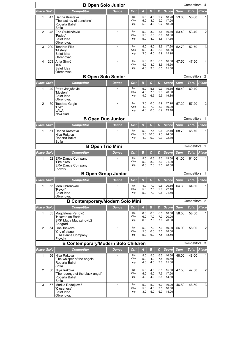| <b>B Open Solo Junior</b><br>Competitors: 4 |            |                                                                       |              |                   |                   |                     |                   |                         |            |                |                |
|---------------------------------------------|------------|-----------------------------------------------------------------------|--------------|-------------------|-------------------|---------------------|-------------------|-------------------------|------------|----------------|----------------|
|                                             | Place StNo | <b>Competitor</b>                                                     | <b>Dance</b> | Crit              | A                 | B                   | D                 | <b>Score</b>            | Sum        | Total          | <b>Place</b>   |
| 1                                           | 47         | Darina Krasteva                                                       |              | Tec               | 5.0               | 4.0                 | 9.2               | 18.20                   | 53.60      | 53.60          | 1              |
|                                             |            | 'The last ray of sunshine'<br>Roberta Ballet<br>Sofia                 |              | Cho<br>Imp        | 5.0<br>5.0        | 3.0<br>4.0          | 9.2<br>9.2        | 17.20<br>18.20          |            |                |                |
| $\overline{2}$                              | 48         | Ena Stublinčević                                                      |              | Tec               | 5.0               | 3.0                 | 8.8               | 16.80                   | 53.40      | 53.40          | $\overline{2}$ |
|                                             |            | 'Faded'<br>Balet Idea<br>Obrenovac                                    |              | Cho<br>Imp        | 5.0<br>5.0        | 5.0<br>4.0          | 8.8<br>8.8        | 18.80<br>17.80          |            |                |                |
| 3                                           | 200        | <b>Teodora Filic</b>                                                  |              | Tec<br>Cho        | 5.0<br>6.0        | 4.0<br>4.0          | 8.9<br>8.9        | 17.90<br>18.90          | 52.70      | 52.70          | 3              |
|                                             |            | 'Mistery'<br><b>Balet Idea</b><br>Obrenovac                           |              | Imp               | 3.0               | 4.0                 | 8.9               | 15.90                   |            |                |                |
| 4                                           | 203        | Anja Simić<br>'007'                                                   |              | Tec<br>Cho        | 5.0<br>4.0        | 3.0<br>3.0          | 8.5<br>8.5        | 16.50<br>15.50          | 47.50      | 47.50          | 4              |
|                                             |            | <b>Balet Idea</b><br>Obrenovac                                        |              | Imp               | 4.0               | 3.0                 | 8.5               | 15.50                   |            |                |                |
|                                             |            | <b>B Open Solo Senior</b>                                             |              |                   |                   |                     |                   |                         |            | Competitors: 2 |                |
| Place StNo                                  |            | <b>Competitor</b>                                                     | <b>Dance</b> | Crit              | B                 | $\mathbf c$         | D                 | Score                   | <b>Sum</b> | <b>Total</b>   | Place          |
| 1                                           | 49         | Petra Janjušević                                                      |              | Tec               | 5.0               | 5.5                 | 9.3               | 19.80                   | 60.40      | 60.40          |                |
|                                             |            | 'Mystery'<br><b>Balet Idea</b>                                        |              | Cho<br>Imp        | 4.0<br>4.0        | 7.5<br>6.5          | 9.3<br>9.3        | 20.80<br>19.80          |            |                |                |
|                                             |            | Obrenovac                                                             |              |                   |                   |                     |                   |                         |            |                |                |
| $\overline{2}$                              | 50         | Teodora Gagic<br>'Lost'                                               |              | Tec<br>Cho        | 3.0<br>4.0        | 6.0<br>7.0          | 8.9<br>8.9        | 17.90<br>19.90          | 57.20      | 57.20          | $\overline{2}$ |
|                                             |            | LALA                                                                  |              | Imp               | 4.0               | 6.5                 | 8.9               | 19.40                   |            |                |                |
|                                             |            | Novi Sad<br><b>B Open Duo Junior</b>                                  |              |                   |                   |                     |                   |                         |            | Competitors: 1 |                |
| Place StNo                                  |            | <b>Competitor</b>                                                     | <b>Dance</b> | <b>Crit</b>       | в                 | $\mathbf c$         | D                 | <b>Score</b>            | Sum        | <b>Total</b>   | Place          |
| 1                                           | 51         | Darina Krasteva                                                       |              | Tec               | 5.0               | 7.5                 | 9.6               | 22.10                   | 68.70      | 68.70          | 1              |
|                                             |            | Niya Rakova<br>Roberta Ballet<br>Sofia                                |              | Cho<br>Imp        | 5.0<br>4.0        | 10.0<br>9.0         | 9.3<br>9.3        | 24.30<br>22.30          |            |                |                |
|                                             |            | <b>B Open Trio Mini</b>                                               |              |                   |                   |                     |                   |                         |            | Competitors: 1 |                |
|                                             | Place StNo | <b>Competitor</b>                                                     | Dance        | Crit              | B                 | $\mathbf c$         | D                 | <b>Score</b>            | <b>Sum</b> | Total          | <b>Place</b>   |
| 1                                           | 52         | <b>ERA Dance Company</b><br>'Fire birds'<br><b>ERA Dance Company</b>  |              | Tec<br>Cho<br>Imp | 5.0<br>5.0<br>6.0 | 6.5<br>8.0<br>7.0   | 8.0<br>8.0<br>7.5 | 19.50<br>21.00<br>20.50 | 61.00      | 61.00          |                |
|                                             |            | Plovdiv<br><b>B Open Group Junior</b>                                 |              |                   |                   |                     |                   |                         |            | Competitors: 1 |                |
|                                             | Place StNo | <b>Competitor</b>                                                     | <b>Dance</b> | Crit              | в                 | $\mathcal{C}$       | D                 | <b>Score</b>            | <b>Sum</b> | <b>Total</b>   | <b>Place</b>   |
| $\mathbf{1}$                                |            | 53 Idea Obrenovac                                                     |              | Tec               | 4.0               | 7.0                 | 9.6               | 20.60                   | 64.30      | 64.30          | 1              |
|                                             |            | 'Revolt'<br><b>Balet Idea</b><br>Obrenovac                            |              | Cho<br>Imp        | 5.0<br>5.0        | 7.5<br>7.0          | 9.6<br>9.6        | 22.10<br>21.60          |            |                |                |
|                                             |            | <b>B Contemporary/Modern Solo Mini</b>                                |              |                   |                   |                     |                   |                         |            | Competitors: 2 |                |
|                                             | Place StNo | <b>Competitor</b>                                                     | <b>Dance</b> | Crit              | $\overline{A}$    | B                   | D                 | <b>Score</b>            | <b>Sum</b> | <b>Total</b>   | <b>Place</b>   |
| 1                                           | 55         | Magdalena Petrović<br>'Heaven on Earth'<br>SRK Maga Magazinovic2      |              | Tec<br>Cho<br>Imp | 6.0<br>6.0<br>6.0 | 6.0<br>7.0<br>7.0   | 6.5<br>7.0<br>7.0 | 18.50<br>20.00<br>20.00 | 58.50      | 58.50          | 1              |
| 2                                           | 54         | Beograd<br>Lina Tsekova                                               |              | Tec               | 5.0               | 7.0                 | 7.0               | 19.00                   | 56.00      | 56.00          | $\overline{2}$ |
|                                             |            | 'Crv of piano'<br><b>ERA Dance Company</b><br>Plovdiv                 |              | Cho<br>Imp        | 5.0<br>5.0        | 6.0<br>6.0          | 7.5<br>7.5        | 18.50<br>18.50          |            |                |                |
|                                             |            | <b>B Contemporary/Modern Solo Children</b>                            |              |                   |                   |                     |                   |                         |            | Competitors: 3 |                |
| Place StNo                                  |            | <b>Competitor</b>                                                     | <b>Dance</b> | Crit              | $\boldsymbol{A}$  | $\boldsymbol{B}$    | С                 | <b>Score</b>            | <b>Sum</b> | <b>Total</b>   | Place          |
| 1                                           | 56         | Niya Rakova<br>'The whisper of the angels'<br>Roberta Ballet<br>Sofia |              | Tec<br>Cho<br>Imp | 5.0<br>5.0<br>4.0 | 5.0<br>4.0<br>4.0   | 6.5<br>7.5<br>7.0 | 16.50<br>16.50<br>15.00 | 48.00      | 48.00          | 1              |
| $\overline{2}$                              | 58         | Niya Rakova                                                           |              | Tec               | 5.0               | 4.0                 | 6.5               | 15.50                   | 47.50      | 47.50          | $\overline{2}$ |
|                                             |            | 'The revenge of the black angel'<br>Roberta Ballet<br>Sofia           |              | Cho<br>Imp        | 5.0<br>4.0        | 5.0<br>4.0          | 7.5<br>6.5        | 17.50<br>14.50          |            |                |                |
| 3                                           | 57         | Marika Radojković<br>'Closeness'<br><b>Balet Idea</b><br>Obrenovac    |              | Tec<br>Cho<br>Imp | 5.0<br>5.0<br>3.0 | $5.0$<br>4.0<br>5.0 | 6.0<br>7.5<br>6.0 | 16.00<br>16.50<br>14.00 | 46.50      | 46.50          | 3              |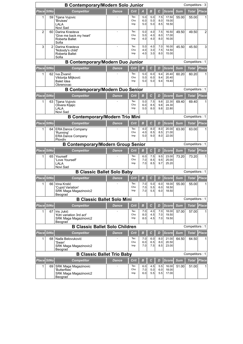| <b>B Contemporary/Modern Solo Junior</b><br>Competitors: 3 |                   |                                                                                    |              |                   |                   |                   |                   |                         |            |                |                |
|------------------------------------------------------------|-------------------|------------------------------------------------------------------------------------|--------------|-------------------|-------------------|-------------------|-------------------|-------------------------|------------|----------------|----------------|
|                                                            | Place StNo        | <b>Competitor</b>                                                                  | <b>Dance</b> | Crit              | A                 | в                 | С                 | <b>Score</b>            | <b>Sum</b> | <b>Total</b>   | Place          |
| 1                                                          | 59                | Tijana Vujovic<br>'Bruises'<br>LALA<br>Novi Sad                                    |              | Tec<br>Cho<br>Imp | 5.0<br>6.0<br>5.0 | 5.0<br>5.0<br>5.0 | 7.5<br>8.0<br>8.5 | 17.50<br>19.00<br>18.50 | 55.00      | 55.00          |                |
| $\overline{2}$                                             | 60                | Darina Krasteva<br>'Give me back my heart'<br>Roberta Ballet<br>Sofia              | ÷,           | Tec<br>Cho<br>Imp | 5.0<br>5.0<br>4.0 | 4.0<br>4.0<br>4.0 | 7.5<br>8.0<br>8.0 | 16.50<br>17.00<br>16.00 | 49.50      | 49.50          | $\overline{2}$ |
| 3                                                          | $\overline{2}$    | Darina Krasteva<br>'Nobody's child'<br>Roberta Ballet<br>Sofia                     | ÷,           | Tec<br>Cho<br>Imp | 5.0<br>4.0<br>4.0 | 4.0<br>3.0<br>3.0 | 7.0<br>7.5<br>8.0 | 16.00<br>14.50<br>15.00 | 45.50      | 45.50          | 3              |
|                                                            |                   | <b>B Contemporary/Modern Duo Junior</b>                                            |              |                   |                   |                   |                   |                         |            | Competitors: 1 |                |
|                                                            | Place StNo        | <b>Competitor</b>                                                                  | <b>Dance</b> | <b>Crit</b>       | в                 | C                 | D                 | <b>Score</b>            | <b>Sum</b> | <b>Total</b>   | Place          |
| 1                                                          | 62                | Iva Živanić<br>Viktorija Miljković<br><b>Balet Idea</b><br>Obrenovac               |              | Tec<br>Cho<br>Imp | 5.0<br>5.0<br>5.0 | 6.0<br>6.0<br>5.0 | 9.4<br>9.4<br>9.4 | 20.40<br>20.40<br>19.40 | 60.20      | 60.20          |                |
| <b>B Contemporary/Modern Duo Senior</b><br>Competitors: 1  |                   |                                                                                    |              |                   |                   |                   |                   |                         |            |                |                |
|                                                            | Place StNo        | <b>Competitor</b>                                                                  | <b>Dance</b> | Crit              | в                 | $\mathbf c$       | D                 | Score                   | <b>Sum</b> | <b>Total</b>   | Place          |
| 1                                                          | 63                | Tijana Vujovic<br>Olivera Kljajic<br>LALA<br>Novi Sad                              |              | Tec<br>Cho<br>Imp | 5.0<br>6.0<br>5.0 | 7.5<br>8.5<br>8.0 | 9.8<br>9.8<br>9.8 | 22.30<br>24.30<br>22.80 | 69.40      | 69.40          |                |
|                                                            |                   | <b>B Contemporary/Modern Trio Mini</b>                                             |              |                   |                   |                   |                   |                         |            | Competitors: 1 |                |
| Place StNo                                                 |                   | <b>Competitor</b>                                                                  | <b>Dance</b> | Crit              | B                 | $\mathbf c$       | D                 | <b>Score</b>            | <b>Sum</b> | <b>Total</b>   | Place          |
| 1                                                          | 64                | <b>ERA Dance Company</b><br>'Running'<br><b>ERA Dance Company</b><br>Plovdiv       |              | Tec<br>Cho<br>Imp | 4.0<br>4.0<br>5.0 | 8.0<br>8.5<br>9.0 | 8.0<br>8.5<br>8.0 | 20.00<br>21.00<br>22.00 | 63.00      | 63.00          |                |
|                                                            |                   | <b>B Contemporary/Modern Group Senior</b>                                          |              |                   |                   |                   |                   |                         |            | Competitors: 1 |                |
|                                                            | Place StNo        | <b>Competitor</b>                                                                  | Dance        | <b>Crit</b>       | $\boldsymbol{B}$  | $\mathbf c$       | D                 | <b>Score</b>            | <b>Sum</b> | Total          | <b>Place</b>   |
| 1                                                          | 65                | Yourself<br>'Love Yourself'<br>LALA<br>Novi Sad                                    |              | Tec<br>Cho<br>Imp | 6.0<br>7.0<br>7.0 | 7.5<br>8.5<br>8.5 | 9.5<br>9.5<br>9.7 | 23.00<br>25.00<br>25.20 | 73.20      | 73.20          |                |
|                                                            |                   | <b>B Classic Ballet Solo Baby</b>                                                  |              |                   |                   |                   |                   |                         |            | Competitors: 1 |                |
|                                                            | Place StNo        | <b>Competitor</b>                                                                  | Dance        | Crit              | в                 | с                 | D                 | <b>Score</b>            | <b>Sum</b> | <b>Total</b>   | <b>Place</b>   |
| 1.                                                         | 66 I              | Irina Krstić<br>'Cupid Variation'<br>SRK Maga Magazinovic2<br>Beograd              |              | Tec<br>Cho<br>Imp | 7.0<br>7.0<br>7.0 | 5.0<br>5.5<br>5.5 | 6.0<br>6.0<br>6.0 | 18.00<br>18.50<br>18.50 | 55.00      | 55.00          | 1              |
|                                                            |                   | <b>B Classic Ballet Solo Mini</b>                                                  |              |                   |                   |                   |                   |                         |            | Competitors: 1 |                |
|                                                            | <b>Place StNo</b> | Competitor                                                                         | Dance        | <b>Crit</b>       | в                 | C                 | D                 | <b>Score</b>            | <b>Sum</b> | <b>Total</b>   | <b>Place</b>   |
| 1                                                          | 67                | Iris Jukić<br>'Kitri variation 3rd act'<br><b>SRK Maga Magazinovic2</b><br>Beograd |              | Tec<br>Cho<br>Imp | 7.0<br>8.0<br>8.0 | 4.0<br>4.5<br>4.5 | 7.0<br>7.0<br>7.0 | 18.00<br>19.50<br>19.50 | 57.00      | 57.00          | 1              |
|                                                            |                   | <b>B Classic Ballet Solo Children</b>                                              |              |                   |                   |                   |                   |                         |            | Competitors: 1 |                |
|                                                            | Place StNo        | <b>Competitor</b>                                                                  | <b>Dance</b> | <b>Crit</b>       | B                 | $\mathbf{C}$      | D                 | <b>Score</b>            | <b>Sum</b> | <b>Total</b>   | Place          |
| 1                                                          | 68                | Nađa Belovuković<br>'Swan'<br>SRK Maga Magazinovic2<br>Beograd                     |              | Tec<br>Cho<br>Imp | 7.0<br>6.0<br>7.0 | 6.0<br>6.5<br>7.5 | 8.0<br>8.0<br>8.5 | 21.00<br>20.50<br>23.00 | 64.50      | 64.50          | 1              |
|                                                            |                   | <b>B Classic Ballet Trio Baby</b>                                                  |              |                   |                   |                   |                   |                         |            | Competitors: 1 |                |
| Place StNo                                                 |                   | <b>Competitor</b>                                                                  | <b>Dance</b> | Crit              | $\boldsymbol{B}$  | $\mathbf c$       | D                 | Score                   | <b>Sum</b> | <b>Total</b>   | Place          |
| 1                                                          | 69                | <b>SRK Maga Magazinovic</b><br>'Butterflies'<br>SRK Maga Magazinovic2<br>Beograd   |              | Tec<br>Cho<br>Imp | 6.0<br>7.0<br>6.0 | 4.5<br>5.0<br>5.5 | 5.5<br>6.0<br>5.5 | 16.00<br>18.00<br>17.00 | 51.00      | 51.00          |                |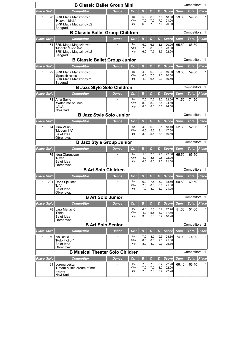|                   | <b>B Classic Ballet Group Mini</b><br>Competitors: 1 |                                                                                       |              |                   |                         |                    |                   |                         |                     |                       |              |
|-------------------|------------------------------------------------------|---------------------------------------------------------------------------------------|--------------|-------------------|-------------------------|--------------------|-------------------|-------------------------|---------------------|-----------------------|--------------|
| <b>Place StNo</b> |                                                      | <b>Competitor</b>                                                                     | <b>Dance</b> | Crit              | B                       | $\mathcal{C}$      | D                 | <b>Score</b>            | <b>Sum</b>          | <b>Total</b>          | <b>Place</b> |
| 1                 | 70                                                   | SRK Maga Magazinovic<br>'Heaven birds'                                                |              | Tec<br>Cho        | 5.0<br>7.0              | 6.0<br>7.0         | 7.0<br>7.0        | 18.00<br>21.00          | 59.00               | 59.00                 |              |
|                   |                                                      | SRK Maga Magazinovic2<br>Beograd                                                      |              | Imp               | 6.0                     | 7.0                | 7.0               | 20.00                   |                     |                       |              |
|                   |                                                      | <b>B Classic Ballet Group Children</b>                                                |              |                   |                         |                    |                   |                         |                     | Competitors: 1        |              |
| Place             | <b>StNo</b>                                          | <b>Competitor</b>                                                                     | <b>Dance</b> | Crit              | в                       | $\mathcal{C}$      | D                 | Score                   | <b>Sum</b>          | Total                 | Place        |
| 1                 | 71                                                   | <b>SRK Maga Magazinovic</b><br>'Moonlight sonata'<br>SRK Maga Magazinovic2<br>Beograd |              | Tec<br>Cho<br>Imp | 5.0<br>7.0<br>6.0       | 6.5<br>8.0<br>7.5  | 8.5<br>8.5<br>8.5 | 20.00<br>23.50<br>22.00 | 65.50               | 65.50                 |              |
|                   |                                                      | <b>B Classic Ballet Group Junior</b>                                                  |              |                   |                         |                    |                   |                         |                     | Competitors: 1        |              |
| Place StNo        |                                                      | <b>Competitor</b>                                                                     | <b>Dance</b> | Crit              | в                       | C                  | D                 | <b>Score</b>            | <b>Sum</b>          | <b>Total</b>          | <b>Place</b> |
| 1                 | 72                                                   | SRK Maga Magazinovic<br>'Spanish roses'<br>SRK Maga Magazinovic2                      |              | Tec<br>Cho<br>Imp | 4.0<br>4.0<br>4.0       | 6.0<br>7.5<br>6.5  | 9.0<br>9.0<br>9.0 | 19.00<br>20.50<br>19.50 | 59.00               | 59.00                 | 1            |
|                   |                                                      | Beograd                                                                               |              |                   |                         |                    |                   |                         |                     |                       |              |
|                   |                                                      | <b>B Jazz Style Solo Children</b>                                                     |              |                   |                         |                    |                   |                         |                     | Competitors: 1        |              |
| <b>Place</b><br>1 | <b>StNo</b><br>73                                    | <b>Competitor</b>                                                                     | <b>Dance</b> | Crit<br>Tec       | $\boldsymbol{B}$<br>7.0 | $\mathbf c$<br>7.5 | D<br>8.0          | <b>Score</b><br>22.50   | <b>Sum</b><br>71.50 | <b>Total</b><br>71.50 | <b>Place</b> |
|                   |                                                      | Anja Savic<br>'Watch me bounce'<br>LALA<br>Novi Sad                                   |              | Cho<br>Imp        | 8.0<br>8.0              | 8.0<br>8.0         | 8.5<br>8.5        | 24.50<br>24.50          |                     |                       |              |
|                   |                                                      | <b>B Jazz Style Solo Junior</b>                                                       |              |                   |                         |                    |                   |                         |                     | Competitors: 1        |              |
| <b>Place StNo</b> |                                                      | <b>Competitor</b>                                                                     | <b>Dance</b> | <b>Crit</b>       | B                       | C                  | D                 | <b>Score</b>            | <b>Sum</b>          | <b>Total</b>          | <b>Place</b> |
| 1                 | 74                                                   | Irina Vasić<br>'Modern life'<br><b>Balet Idea</b><br>Obrenovac                        |              | Tec<br>Cho<br>Imp | 4.0<br>4.0<br>3.0       | 6.0<br>5.5<br>5.5  | 8.1<br>8.1<br>8.1 | 18.10<br>17.60<br>16.60 | 52.30               | 52.30                 |              |
|                   |                                                      | <b>B Jazz Style Group Junior</b>                                                      |              |                   |                         |                    |                   |                         |                     | Competitors: 1        |              |
| <b>Place StNo</b> |                                                      | Competitor                                                                            | <b>Dance</b> | Crit              | B                       | $\mathcal{C}$      | D                 | <b>Score</b>            | <b>Sum</b>          | <b>Total</b>          | Place        |
| 1                 | 75                                                   | Idea Obrenovac<br>'River'<br><b>Balet Idea</b>                                        |              | Tec<br>Cho<br>Imp | 5.0<br>4.0<br>4.0       | 7.5<br>8.5<br>8.0  | 9.5<br>9.5<br>9.5 | 22.00<br>22.00<br>21.50 | 65.50               | 65.50                 |              |
|                   |                                                      | Obrenovac<br><b>B Art Solo Children</b>                                               |              |                   |                         |                    |                   |                         |                     | Competitors: 1        |              |
| Place             | <b>StNo</b>                                          | Competitor                                                                            | Dance        | Crit              | в                       | с                  | D                 | <b>Score</b>            | <b>Sum</b>          | Total                 | Place        |
| 1                 | 201                                                  | Doris Sjekloca                                                                        |              | Tec               | 6.0                     | 7.5                | 5.0               | 18.50                   | 60.50               | 60.50                 | 1            |
|                   |                                                      | 'Life'<br>Balet Idea                                                                  |              | Cho<br>Imp        | 7.0<br>7.0              | 8.0<br>8.0         | 6.0<br>6.0        | 21.00<br>21.00          |                     |                       |              |
|                   |                                                      | Obrenovac<br><b>B Art Solo Junior</b>                                                 |              |                   |                         |                    |                   |                         |                     | Competitors: 1        |              |
| <b>Place StNo</b> |                                                      | <b>Competitor</b>                                                                     | <b>Dance</b> | Crit              | в                       | $\mathcal{C}$      | D                 | <b>Score</b>            | <b>Sum</b>          | <b>Total</b>          | Place        |
| 1                 | 78                                                   | Lara Marjacić                                                                         |              | Tec               | 4.0                     | 5.5                | 8.2               | 17.70                   | 51.60               | 51.60                 | 1            |
|                   |                                                      | 'Etida'<br><b>Balet Idea</b>                                                          |              | Cho<br>Imp        | 4.0<br>3.0              | 5.5<br>5.0         | 8.2<br>8.2        | 17.70<br>16.20          |                     |                       |              |
|                   |                                                      | Obrenovac                                                                             |              |                   |                         |                    |                   |                         |                     |                       |              |
|                   |                                                      | <b>B Art Solo Senior</b>                                                              |              |                   |                         |                    |                   |                         |                     | Competitors: 2        |              |
| Place StNo<br>1   | 79                                                   | <b>Competitor</b><br>Iva Ristić                                                       | <b>Dance</b> | Crit<br>Tec       | $\boldsymbol{B}$<br>7.0 | $\mathbf c$<br>8.0 | D<br>9.3          | <b>Score</b><br>24.30   | <b>Sum</b><br>74.90 | <b>Total</b><br>74.90 | Place        |
|                   |                                                      | 'Pulp Fiction'<br><b>Balet Idea</b><br>Obrenovac                                      |              | Cho<br>Imp        | 8.0<br>8.0              | 8.0<br>8.0         | 9.3<br>9.3        | 25.30<br>25.30          |                     |                       |              |
|                   |                                                      | <b>B Musical Theater Solo Children</b>                                                |              |                   |                         |                    |                   |                         |                     | Competitors: 1        |              |
| <b>Place StNo</b> |                                                      | <b>Competitor</b>                                                                     | <b>Dance</b> | Crit              | $\boldsymbol{B}$        | $\mathbf c$        | D                 | <b>Score</b>            | <b>Sum</b>          | <b>Total</b>          | Place        |
| 1                 | 81                                                   | Lorena Leštar<br>'Dream a little dream of me'<br>Inspire<br>Novi Sad                  |              | Tec<br>Cho<br>Imp | 7.0<br>7.0<br>7.0       | 7.0<br>7.0<br>7.0  | 8.2<br>8.0<br>8.2 | 22.20<br>22.00<br>22.20 | 66.40               | 66.40                 | 1            |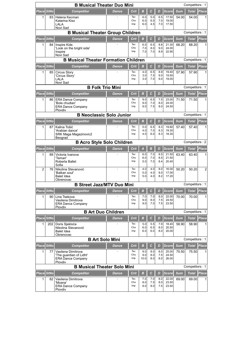| <b>B Musical Theater Duo Mini</b><br>Competitors: 1                                                                       |     |                                                     |              |             |                  |                    |            |                       |                     |                |                   |  |
|---------------------------------------------------------------------------------------------------------------------------|-----|-----------------------------------------------------|--------------|-------------|------------------|--------------------|------------|-----------------------|---------------------|----------------|-------------------|--|
| <b>Place StNo</b>                                                                                                         |     | Competitor                                          | <b>Dance</b> | Crit        | в                | $\mathbf{C}$       | D          | <b>Score</b>          | <b>Sum</b>          | <b>Total</b>   | Place             |  |
| 1                                                                                                                         | 83  | Helena Kecman                                       |              | Tec<br>Cho  | 6.0<br>6.0       | 5.0<br>6.0         | 6.5<br>7.0 | 17.50<br>19.00        | 54.00               | 54.00          |                   |  |
|                                                                                                                           |     | Katarina Kiso<br>LALA                               |              | Imp         | 6.0              | 4.5                | 7.0        | 17.50                 |                     |                |                   |  |
|                                                                                                                           |     | Novi Sad<br><b>B Musical Theater Group Children</b> |              |             |                  |                    |            |                       |                     | Competitors: 1 |                   |  |
| Place StNo                                                                                                                |     | <b>Competitor</b>                                   | <b>Dance</b> | Crit        | $\overline{B}$   | $\mathbf c$        | D          | Score                 | <b>Sum</b>          | Total          | <b>Place</b>      |  |
| 1                                                                                                                         | 84  | Inspire Kids                                        |              | Tec         | 6.0              | 6.5                | 8.8        | 21.30                 | 68.20               | 68.20          |                   |  |
|                                                                                                                           |     | 'Look on the bright side'                           |              | Cho<br>Imp  | 7.0<br>7.0       | 8.0                | 9.0        | 24.00                 |                     |                |                   |  |
|                                                                                                                           |     | Inspire<br>Novi Sad                                 |              |             |                  | 7.0                | 8.9        | 22.90                 |                     |                |                   |  |
|                                                                                                                           |     | <b>B Musical Theater Formation Children</b>         |              |             |                  |                    |            |                       |                     | Competitors: 1 |                   |  |
| <b>Place StNo</b>                                                                                                         |     | <b>Competitor</b>                                   | <b>Dance</b> | Crit        | в                | $\mathbf c$        | D          | <b>Score</b>          | <b>Sum</b>          | <b>Total</b>   | Place             |  |
| 1                                                                                                                         | 85  | Circus Story<br>'Circus Story'                      |              | Tec<br>Cho  | 4.0<br>3.0       | 6.5<br>7.5         | 8.9<br>9.0 | 19.40<br>19.50        | 57.90               | 57.90          |                   |  |
|                                                                                                                           |     | LALA                                                |              | Imp         | 3.0              | 7.0                | 9.0        | 19.00                 |                     |                |                   |  |
| Novi Sad<br><b>B Folk Trio Mini</b><br>Competitors: 1                                                                     |     |                                                     |              |             |                  |                    |            |                       |                     |                |                   |  |
| Place StNo<br>B<br>$\mathcal{C}$<br><b>Sum</b><br><b>Competitor</b><br>Crit<br>D<br><b>Score</b><br><b>Total</b><br>Dance |     |                                                     |              |             |                  |                    |            |                       |                     |                |                   |  |
| 1                                                                                                                         | 86  | <b>ERA Dance Company</b>                            |              | Tec         | 9.0              | 6.5                | 7.5        | 23.00                 | 71.50               | 71.50          | <b>Place</b><br>1 |  |
|                                                                                                                           |     | 'Bole chudian'                                      |              | Cho<br>Imp  | 9.0<br>9.0       | 7.0<br>7.5         | 8.0<br>8.0 | 24.00<br>24.50        |                     |                |                   |  |
|                                                                                                                           |     | <b>ERA Dance Company</b><br>Plovdiv                 |              |             |                  |                    |            |                       |                     |                |                   |  |
|                                                                                                                           |     | <b>B Neoclassic Solo Junior</b>                     |              |             |                  |                    |            |                       |                     | Competitors: 1 |                   |  |
| Place StNo                                                                                                                |     | <b>Competitor</b>                                   | <b>Dance</b> | Crit        | B                | $\mathbf c$        | D          | <b>Score</b>          | <b>Sum</b>          | <b>Total</b>   | Place             |  |
| 1                                                                                                                         | 87  | Kalina Tošić<br>'Arabian dance'                     |              | Tec<br>Cho  | 5.0<br>4.0       | 6.5<br>7.0         | 8.3<br>8.3 | 19.80<br>19.30        | 57.40               | 57.40          |                   |  |
|                                                                                                                           |     | SRK Maga Magazinovic2                               |              | Imp         | 4.0              | 6.0                | 8.3        | 18.30                 |                     |                |                   |  |
|                                                                                                                           |     | Beograd<br><b>B Acro Style Solo Children</b>        |              |             |                  |                    |            |                       |                     | Competitors: 2 |                   |  |
| <b>Place StNo</b>                                                                                                         |     | <b>Competitor</b>                                   | <b>Dance</b> | Crit        | A                | $\boldsymbol{B}$   | D          | <b>Score</b>          | <b>Sum</b>          | <b>Total</b>   | Place             |  |
| 1                                                                                                                         | 89  | Victoria Ivanova                                    |              | Tec         | 6.0              | 7.0                | 8.5        | 21.50                 | 63.40               | 63.40          |                   |  |
|                                                                                                                           |     | 'Temari'<br>Roberta Ballet                          |              | Cho<br>Imp  | 6.0<br>5.0       | 7.0<br>7.0         | 8.5<br>8.4 | 21.50<br>20.40        |                     |                |                   |  |
|                                                                                                                           |     | Sofia                                               |              |             |                  |                    |            |                       |                     |                |                   |  |
| $\overline{2}$                                                                                                            | 76  | Nikolina Stevanović<br>'Balkan soul'                | ä,           | Tec<br>Cho  | 4.0<br>5.0       | 4.0<br>4.0         | 8.0<br>8.0 | 16.00<br>17.00        | 50.20               | 50.20          | $\overline{2}$    |  |
|                                                                                                                           |     | <b>Balet Idea</b><br>Obrenovac                      |              | Imp         | 5.0              | 4.0                | 8.2        | 17.20                 |                     |                |                   |  |
|                                                                                                                           |     | <b>B Street Jazz/MTV Duo Mini</b>                   |              |             |                  |                    |            |                       |                     | Competitors: 1 |                   |  |
| Place StNo                                                                                                                |     | <b>Competitor</b>                                   | Dance        | Crit        | в                | С                  | D          | <b>Score</b>          | <b>Sum</b>          | Total          | <b>Place</b>      |  |
| 1                                                                                                                         | 90  | Lina Tsekova                                        |              | Tec         | 7.0              | 7.0                | 8.0        | 22.00                 | 70.00               | 70.00          | 1                 |  |
|                                                                                                                           |     | Vasilena Dimitrova<br><b>ERA Dance Company</b>      |              | Cho<br>Imp  | 9.0<br>9.0       | 8.0<br>7.0         | 7.5<br>7.5 | 24.50<br>23.50        |                     |                |                   |  |
|                                                                                                                           |     | Plovdiv                                             |              |             |                  |                    |            |                       |                     | Competitors: 1 |                   |  |
|                                                                                                                           |     | <b>B Art Duo Children</b>                           |              |             |                  |                    |            |                       |                     |                |                   |  |
| Place StNo<br>1                                                                                                           | 202 | <b>Competitor</b><br>Doris Sjekloća                 | Dance        | Crit<br>Tec | B<br>5.0         | $\mathbf c$<br>5.5 | D<br>7.9   | <b>Score</b><br>18.40 | <b>Sum</b><br>58.90 | Total<br>58.90 | <b>Place</b>      |  |
|                                                                                                                           |     | Nikolina Stevanović                                 |              | Cho         | 6.0              | 6.5                | 8.0        | 20.50                 |                     |                |                   |  |
|                                                                                                                           |     | <b>Balet Idea</b><br>Obrenovac                      |              | Imp         | 6.0              | 6.0                | 8.0        | 20.00                 |                     |                |                   |  |
|                                                                                                                           |     | <b>B Art Solo Mini</b>                              |              |             |                  |                    |            |                       |                     | Competitors: 1 |                   |  |
| <b>Place StNo</b>                                                                                                         |     | <b>Competitor</b>                                   | Dance        | Crit        | $\boldsymbol{B}$ | $\mathbf c$        | D          | <b>Score</b>          | <b>Sum</b>          | Total          | <b>Place</b>      |  |
| $\mathbf{1}$                                                                                                              | 77  | Vasilena Dimitrova<br>'The quardian of Lidht'       |              | Tec<br>Cho  | 9.0<br>9.0       | 8.0<br>8.0         | 8.0<br>7.5 | 25.00<br>24.50        | 75.50               | 75.50          | 1                 |  |
|                                                                                                                           |     | <b>ERA Dance Company</b>                            |              | Imp         | 10.0             | 8.0                | 8.0        | 26.00                 |                     |                |                   |  |
|                                                                                                                           |     | Plovdiv<br><b>B Musical Theater Solo Mini</b>       |              |             |                  |                    |            |                       |                     | Competitors: 1 |                   |  |
| Place StNo                                                                                                                |     | <b>Competitor</b>                                   | <b>Dance</b> | Crit        | B                | $\mathbf c$        | D          | Score                 | <b>Sum</b>          | Total          | Place             |  |
| 1                                                                                                                         | 82  | Vasilena Dimitrova                                  |              | Tec         | 7.0              | 7.0                | 8.0        | 22.00                 | 69.00               | 69.00          | 1                 |  |
|                                                                                                                           |     | 'Moana'<br><b>ERA Dance Company</b>                 |              | Cho<br>Imp  | 8.0<br>8.0       | 7.5<br>8.0         | 8.0<br>7.5 | 23.50<br>23.50        |                     |                |                   |  |
|                                                                                                                           |     | Plovdiv                                             |              |             |                  |                    |            |                       |                     |                |                   |  |